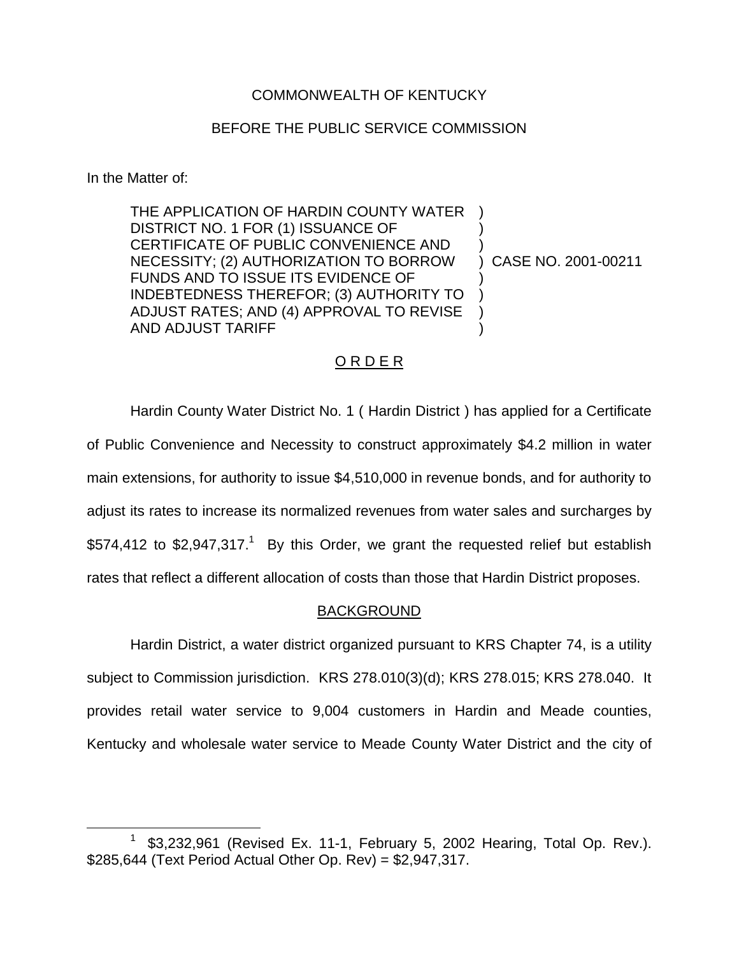# COMMONWEALTH OF KENTUCKY

## BEFORE THE PUBLIC SERVICE COMMISSION

In the Matter of:

THE APPLICATION OF HARDIN COUNTY WATER DISTRICT NO. 1 FOR (1) ISSUANCE OF CERTIFICATE OF PUBLIC CONVENIENCE AND NECESSITY; (2) AUTHORIZATION TO BORROW FUNDS AND TO ISSUE ITS EVIDENCE OF INDEBTEDNESS THEREFOR; (3) AUTHORITY TO ADJUST RATES; AND (4) APPROVAL TO REVISE AND ADJUST TARIFF ) ) ) ) ) ) )

) CASE NO. 2001-00211

## O R D E R

Hardin County Water District No. 1 ( Hardin District ) has applied for a Certificate of Public Convenience and Necessity to construct approximately \$4.2 million in water main extensions, for authority to issue \$4,510,000 in revenue bonds, and for authority to adjust its rates to increase its normalized revenues from water sales and surcharges by \$574,412 to \$2,947,317.<sup>1</sup> By this Order, we grant the requested relief but establish rates that reflect a different allocation of costs than those that Hardin District proposes.

## BACKGROUND

Hardin District, a water district organized pursuant to KRS Chapter 74, is a utility subject to Commission jurisdiction. KRS 278.010(3)(d); KRS 278.015; KRS 278.040. It provides retail water service to 9,004 customers in Hardin and Meade counties, Kentucky and wholesale water service to Meade County Water District and the city of

<sup>\$3,232,961 (</sup>Revised Ex. 11-1, February 5, 2002 Hearing, Total Op. Rev.). \$285,644 (Text Period Actual Other Op. Rev) = \$2,947,317.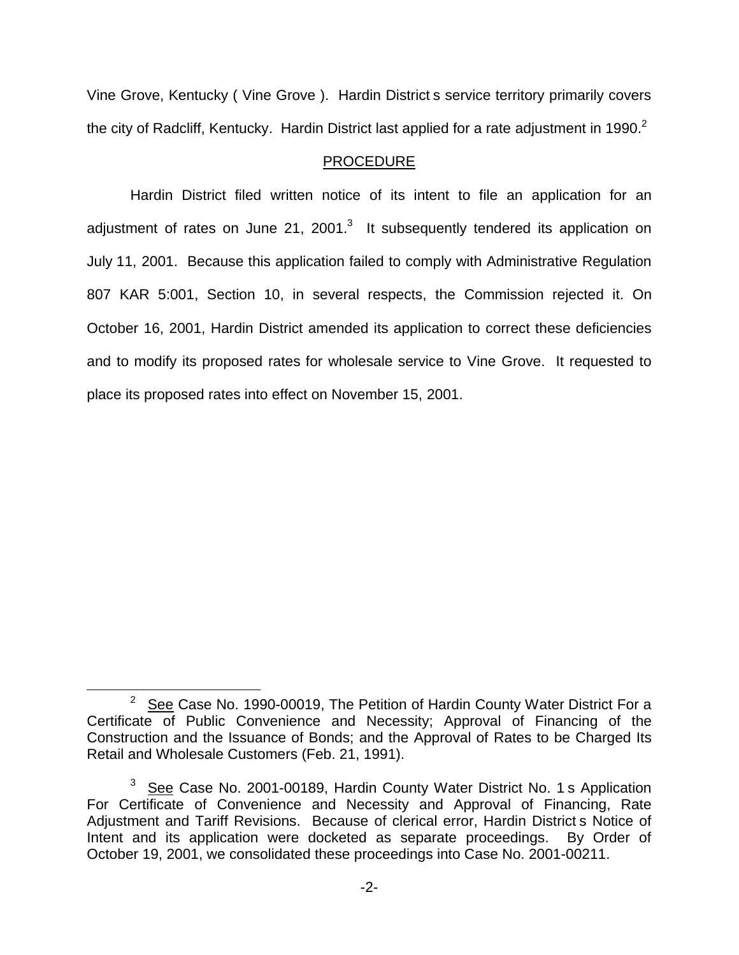Vine Grove, Kentucky ( Vine Grove ). Hardin District s service territory primarily covers the city of Radcliff, Kentucky. Hardin District last applied for a rate adjustment in 1990. $2$ 

# PROCEDURE

Hardin District filed written notice of its intent to file an application for an adjustment of rates on June 21, 2001. $3$  It subsequently tendered its application on July 11, 2001. Because this application failed to comply with Administrative Regulation 807 KAR 5:001, Section 10, in several respects, the Commission rejected it. On October 16, 2001, Hardin District amended its application to correct these deficiencies and to modify its proposed rates for wholesale service to Vine Grove. It requested to place its proposed rates into effect on November 15, 2001.

 $2^{2}$  See Case No. 1990-00019, The Petition of Hardin County Water District For a Certificate of Public Convenience and Necessity; Approval of Financing of the Construction and the Issuance of Bonds; and the Approval of Rates to be Charged Its Retail and Wholesale Customers (Feb. 21, 1991).

 $3$  See Case No. 2001-00189, Hardin County Water District No. 1 s Application For Certificate of Convenience and Necessity and Approval of Financing, Rate Adjustment and Tariff Revisions. Because of clerical error, Hardin District s Notice of Intent and its application were docketed as separate proceedings. By Order of October 19, 2001, we consolidated these proceedings into Case No. 2001-00211.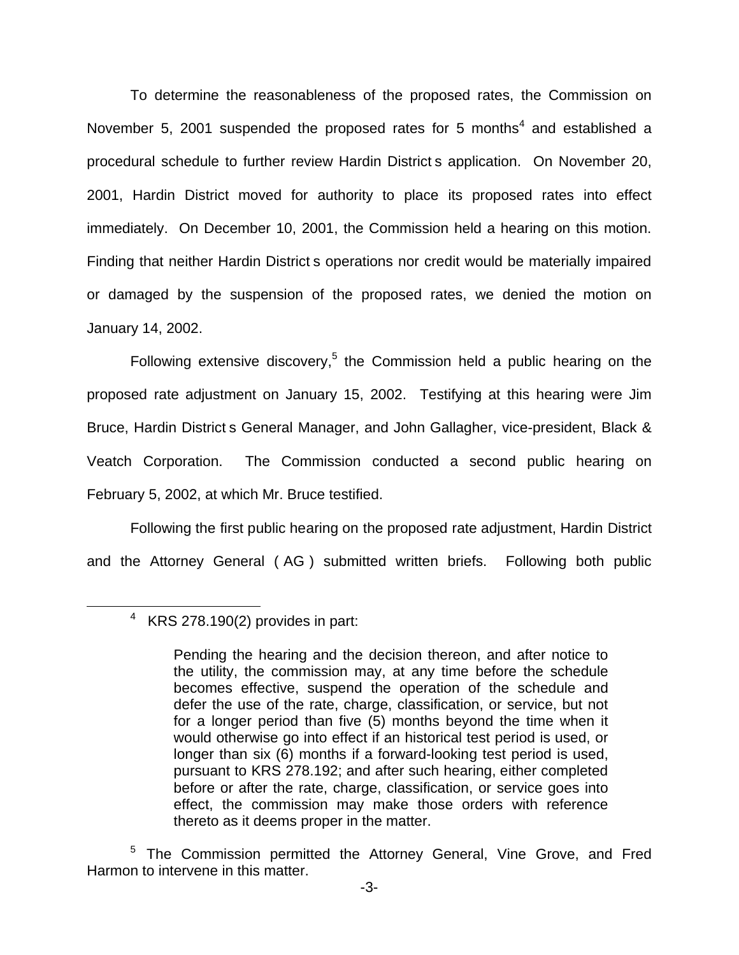To determine the reasonableness of the proposed rates, the Commission on November 5, 2001 suspended the proposed rates for 5 months $4$  and established a procedural schedule to further review Hardin District s application. On November 20, 2001, Hardin District moved for authority to place its proposed rates into effect immediately. On December 10, 2001, the Commission held a hearing on this motion. Finding that neither Hardin District s operations nor credit would be materially impaired or damaged by the suspension of the proposed rates, we denied the motion on January 14, 2002.

Following extensive discovery,<sup>5</sup> the Commission held a public hearing on the proposed rate adjustment on January 15, 2002. Testifying at this hearing were Jim Bruce, Hardin District s General Manager, and John Gallagher, vice-president, Black & Veatch Corporation. The Commission conducted a second public hearing on February 5, 2002, at which Mr. Bruce testified.

Following the first public hearing on the proposed rate adjustment, Hardin District and the Attorney General ( AG ) submitted written briefs. Following both public

 $4$  KRS 278.190(2) provides in part:

Pending the hearing and the decision thereon, and after notice to the utility, the commission may, at any time before the schedule becomes effective, suspend the operation of the schedule and defer the use of the rate, charge, classification, or service, but not for a longer period than five (5) months beyond the time when it would otherwise go into effect if an historical test period is used, or longer than six (6) months if a forward-looking test period is used, pursuant to KRS 278.192; and after such hearing, either completed before or after the rate, charge, classification, or service goes into effect, the commission may make those orders with reference thereto as it deems proper in the matter.

<sup>&</sup>lt;sup>5</sup> The Commission permitted the Attorney General, Vine Grove, and Fred Harmon to intervene in this matter.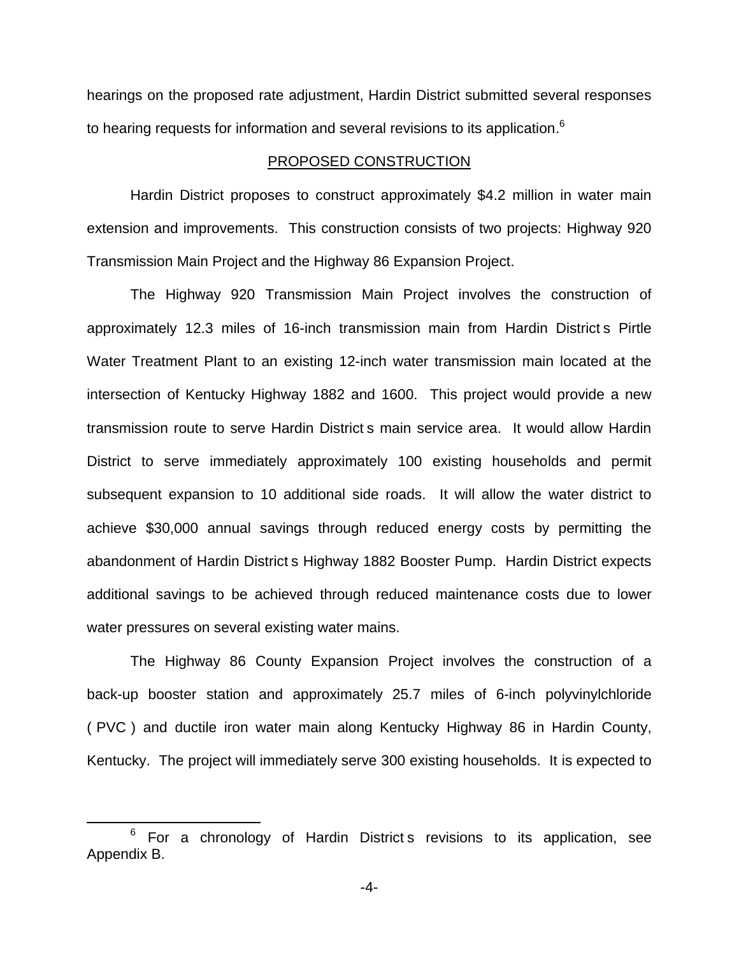hearings on the proposed rate adjustment, Hardin District submitted several responses to hearing requests for information and several revisions to its application.<sup>6</sup>

## PROPOSED CONSTRUCTION

Hardin District proposes to construct approximately \$4.2 million in water main extension and improvements. This construction consists of two projects: Highway 920 Transmission Main Project and the Highway 86 Expansion Project.

The Highway 920 Transmission Main Project involves the construction of approximately 12.3 miles of 16-inch transmission main from Hardin District s Pirtle Water Treatment Plant to an existing 12-inch water transmission main located at the intersection of Kentucky Highway 1882 and 1600. This project would provide a new transmission route to serve Hardin District s main service area. It would allow Hardin District to serve immediately approximately 100 existing households and permit subsequent expansion to 10 additional side roads. It will allow the water district to achieve \$30,000 annual savings through reduced energy costs by permitting the abandonment of Hardin District s Highway 1882 Booster Pump. Hardin District expects additional savings to be achieved through reduced maintenance costs due to lower water pressures on several existing water mains.

The Highway 86 County Expansion Project involves the construction of a back-up booster station and approximately 25.7 miles of 6-inch polyvinylchloride ( PVC ) and ductile iron water main along Kentucky Highway 86 in Hardin County, Kentucky. The project will immediately serve 300 existing households. It is expected to

 $6$  For a chronology of Hardin District s revisions to its application, see Appendix B.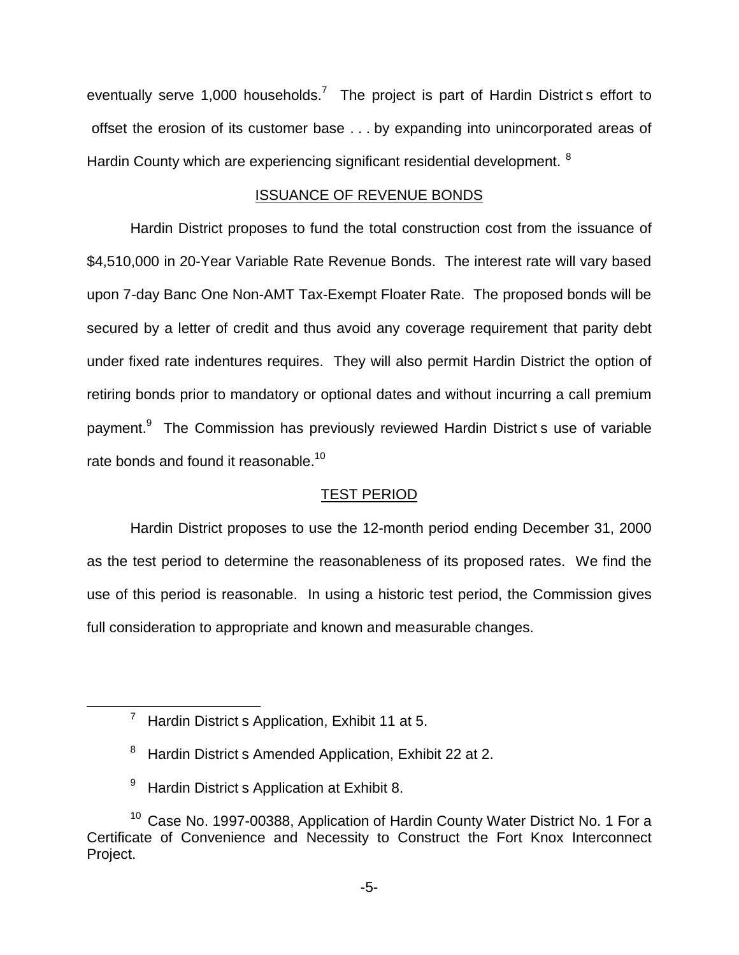eventually serve 1,000 households.<sup>7</sup> The project is part of Hardin District s effort to offset the erosion of its customer base . . . by expanding into unincorporated areas of Hardin County which are experiencing significant residential development. <sup>8</sup>

## ISSUANCE OF REVENUE BONDS

Hardin District proposes to fund the total construction cost from the issuance of \$4,510,000 in 20-Year Variable Rate Revenue Bonds. The interest rate will vary based upon 7-day Banc One Non-AMT Tax-Exempt Floater Rate. The proposed bonds will be secured by a letter of credit and thus avoid any coverage requirement that parity debt under fixed rate indentures requires. They will also permit Hardin District the option of retiring bonds prior to mandatory or optional dates and without incurring a call premium payment.9 The Commission has previously reviewed Hardin District s use of variable rate bonds and found it reasonable.<sup>10</sup>

## TEST PERIOD

Hardin District proposes to use the 12-month period ending December 31, 2000 as the test period to determine the reasonableness of its proposed rates. We find the use of this period is reasonable. In using a historic test period, the Commission gives full consideration to appropriate and known and measurable changes.

<sup>9</sup> Hardin District s Application at Exhibit 8.

 $7$  Hardin District s Application, Exhibit 11 at 5.

<sup>8</sup> Hardin District s Amended Application, Exhibit 22 at 2.

 $10$  Case No. 1997-00388, Application of Hardin County Water District No. 1 For a Certificate of Convenience and Necessity to Construct the Fort Knox Interconnect Project.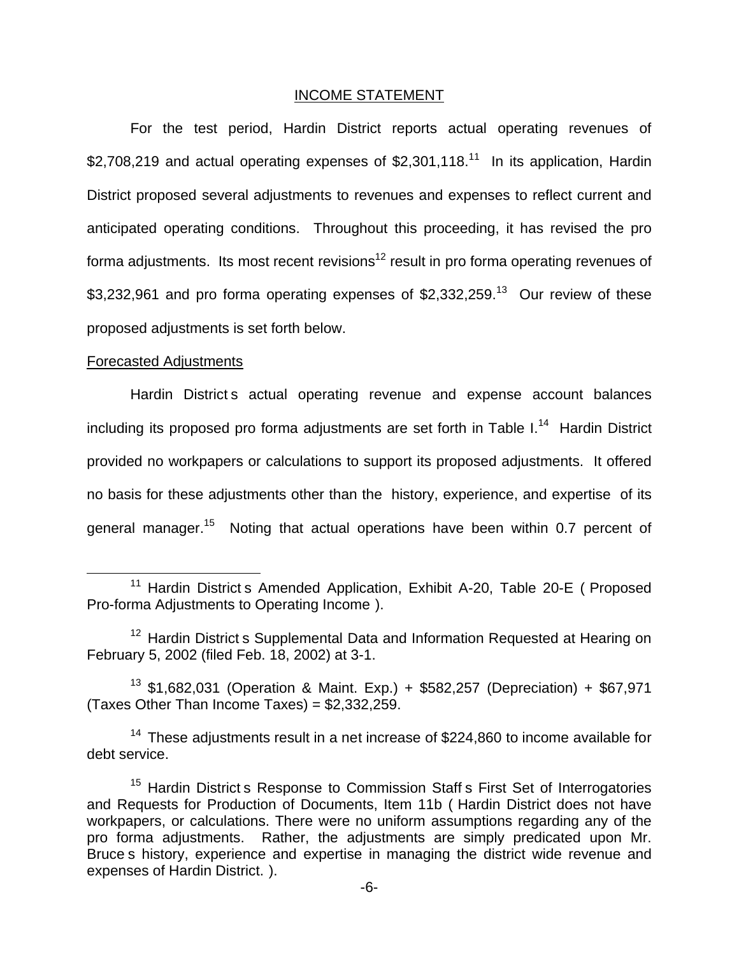## INCOME STATEMENT

For the test period, Hardin District reports actual operating revenues of \$2.708.219 and actual operating expenses of  $$2,301,118<sup>11</sup>$  In its application, Hardin District proposed several adjustments to revenues and expenses to reflect current and anticipated operating conditions. Throughout this proceeding, it has revised the pro forma adjustments. Its most recent revisions<sup>12</sup> result in pro forma operating revenues of \$3,232,961 and pro forma operating expenses of  $$2,332,259<sup>13</sup>$  Our review of these proposed adjustments is set forth below.

#### Forecasted Adjustments

Hardin District s actual operating revenue and expense account balances including its proposed pro forma adjustments are set forth in Table  $I<sup>14</sup>$  Hardin District provided no workpapers or calculations to support its proposed adjustments. It offered no basis for these adjustments other than the history, experience, and expertise of its general manager.<sup>15</sup> Noting that actual operations have been within 0.7 percent of

<sup>13</sup> \$1,682,031 (Operation & Maint. Exp.) + \$582,257 (Depreciation) + \$67,971 (Taxes Other Than Income Taxes) = \$2,332,259.

 $14$  These adjustments result in a net increase of \$224,860 to income available for debt service.

<sup>&</sup>lt;sup>11</sup> Hardin District s Amended Application, Exhibit A-20, Table 20-E ( Proposed Pro-forma Adjustments to Operating Income ).

<sup>&</sup>lt;sup>12</sup> Hardin District s Supplemental Data and Information Requested at Hearing on February 5, 2002 (filed Feb. 18, 2002) at 3-1.

<sup>&</sup>lt;sup>15</sup> Hardin District s Response to Commission Staff s First Set of Interrogatories and Requests for Production of Documents, Item 11b ( Hardin District does not have workpapers, or calculations. There were no uniform assumptions regarding any of the pro forma adjustments. Rather, the adjustments are simply predicated upon Mr. Bruce s history, experience and expertise in managing the district wide revenue and expenses of Hardin District. ).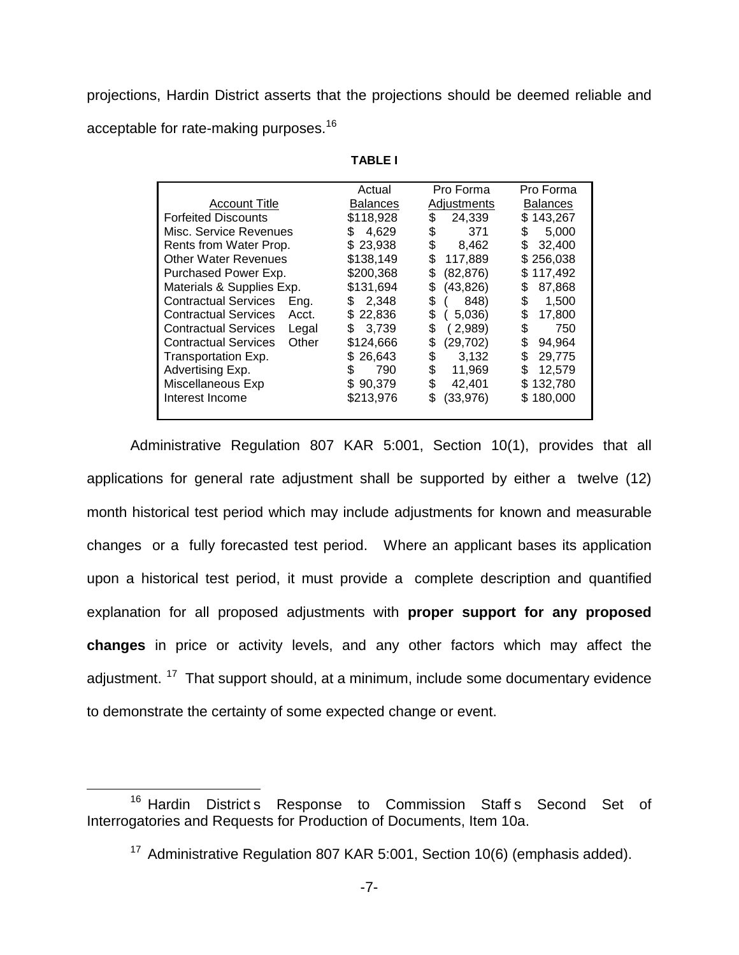projections, Hardin District asserts that the projections should be deemed reliable and acceptable for rate-making purposes.<sup>16</sup>

|                                      | Actual          | Pro Forma       | Pro Forma       |
|--------------------------------------|-----------------|-----------------|-----------------|
| <b>Account Title</b>                 | <b>Balances</b> | Adiustments     | <b>Balances</b> |
| <b>Forfeited Discounts</b>           | \$118,928       | \$<br>24,339    | \$143,267       |
| Misc. Service Revenues               | 4,629<br>S      | 371<br>\$       | 5,000<br>S      |
| Rents from Water Prop.               | \$23,938        | \$<br>8,462     | 32,400<br>S     |
| <b>Other Water Revenues</b>          | \$138,149       | \$<br>117,889   | \$256,038       |
| Purchased Power Exp.                 | \$200,368       | (82, 876)<br>\$ | 117,492<br>S.   |
| Materials & Supplies Exp.            | \$131,694       | (43, 826)<br>\$ | 87,868<br>S     |
| <b>Contractual Services</b><br>Eng.  | 2.348<br>S      | \$<br>848)      | \$<br>1,500     |
| <b>Contractual Services</b><br>Acct. | 22,836<br>SS.   | \$<br>5,036     | \$<br>17,800    |
| <b>Contractual Services</b><br>Legal | 3,739<br>\$.    | \$<br>( 2,989)  | \$<br>750       |
| Other<br><b>Contractual Services</b> | \$124,666       | \$<br>(29, 702) | 94,964<br>S     |
| Transportation Exp.                  | 26,643<br>SS.   | \$<br>3,132     | S<br>29,775     |
| Advertising Exp.                     | 790<br>S.       | \$<br>11,969    | 12,579<br>S     |
| Miscellaneous Exp                    | \$90,379        | \$<br>42,401    | \$132,780       |
| Interest Income                      | \$213,976       | S<br>(33,976)   | \$180,000       |
|                                      |                 |                 |                 |

**TABLE I**

Administrative Regulation 807 KAR 5:001, Section 10(1), provides that all applications for general rate adjustment shall be supported by either a twelve (12) month historical test period which may include adjustments for known and measurable changes or a fully forecasted test period. Where an applicant bases its application upon a historical test period, it must provide a complete description and quantified explanation for all proposed adjustments with **proper support for any proposed changes** in price or activity levels, and any other factors which may affect the adjustment.  $17$  That support should, at a minimum, include some documentary evidence to demonstrate the certainty of some expected change or event.

<sup>&</sup>lt;sup>16</sup> Hardin District s Response to Commission Staff s Second Set of Interrogatories and Requests for Production of Documents, Item 10a.

<sup>&</sup>lt;sup>17</sup> Administrative Regulation 807 KAR 5:001, Section 10(6) (emphasis added).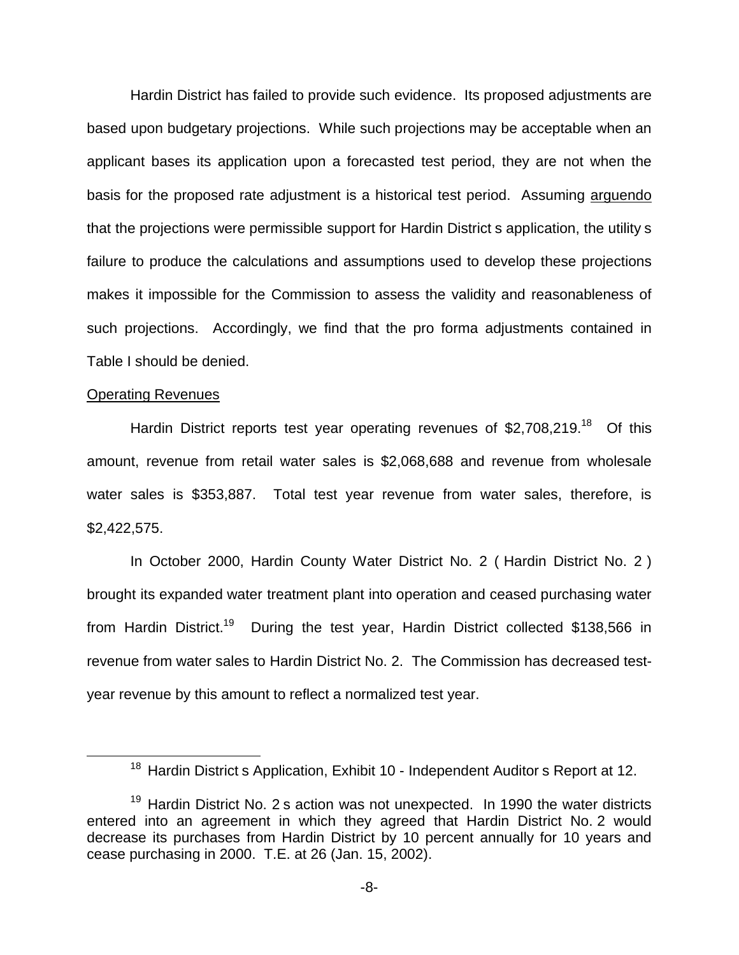Hardin District has failed to provide such evidence. Its proposed adjustments are based upon budgetary projections. While such projections may be acceptable when an applicant bases its application upon a forecasted test period, they are not when the basis for the proposed rate adjustment is a historical test period. Assuming arguendo that the projections were permissible support for Hardin District s application, the utility s failure to produce the calculations and assumptions used to develop these projections makes it impossible for the Commission to assess the validity and reasonableness of such projections. Accordingly, we find that the pro forma adjustments contained in Table I should be denied.

#### Operating Revenues

Hardin District reports test year operating revenues of  $$2,708,219.<sup>18</sup>$  Of this amount, revenue from retail water sales is \$2,068,688 and revenue from wholesale water sales is \$353,887. Total test year revenue from water sales, therefore, is \$2,422,575.

In October 2000, Hardin County Water District No. 2 ( Hardin District No. 2 ) brought its expanded water treatment plant into operation and ceased purchasing water from Hardin District.<sup>19</sup> During the test year, Hardin District collected \$138,566 in revenue from water sales to Hardin District No. 2. The Commission has decreased testyear revenue by this amount to reflect a normalized test year.

<sup>&</sup>lt;sup>18</sup> Hardin District s Application, Exhibit 10 - Independent Auditor s Report at 12.

 $19$  Hardin District No. 2 s action was not unexpected. In 1990 the water districts entered into an agreement in which they agreed that Hardin District No. 2 would decrease its purchases from Hardin District by 10 percent annually for 10 years and cease purchasing in 2000. T.E. at 26 (Jan. 15, 2002).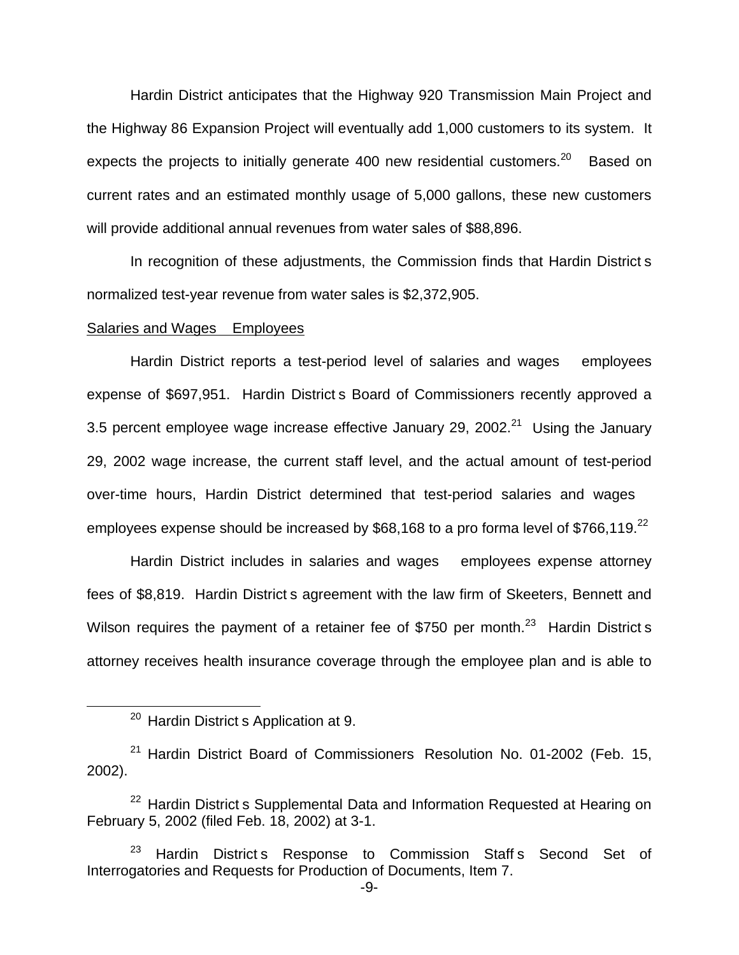Hardin District anticipates that the Highway 920 Transmission Main Project and the Highway 86 Expansion Project will eventually add 1,000 customers to its system. It expects the projects to initially generate 400 new residential customers.<sup>20</sup> Based on current rates and an estimated monthly usage of 5,000 gallons, these new customers will provide additional annual revenues from water sales of \$88,896.

In recognition of these adjustments, the Commission finds that Hardin District s normalized test-year revenue from water sales is \$2,372,905.

#### Salaries and Wages Employees

Hardin District reports a test-period level of salaries and wages employees expense of \$697,951. Hardin District s Board of Commissioners recently approved a 3.5 percent employee wage increase effective January 29, 2002. $^{21}$  Using the January 29, 2002 wage increase, the current staff level, and the actual amount of test-period over-time hours, Hardin District determined that test-period salaries and wages employees expense should be increased by \$68,168 to a pro forma level of \$766,119. $^{22}$ 

Hardin District includes in salaries and wages employees expense attorney fees of \$8,819. Hardin District s agreement with the law firm of Skeeters, Bennett and Wilson requires the payment of a retainer fee of \$750 per month.<sup>23</sup> Hardin District s attorney receives health insurance coverage through the employee plan and is able to

<sup>&</sup>lt;sup>20</sup> Hardin District s Application at 9.

<sup>&</sup>lt;sup>21</sup> Hardin District Board of Commissioners Resolution No. 01-2002 (Feb. 15, 2002).

 $22$  Hardin District s Supplemental Data and Information Requested at Hearing on February 5, 2002 (filed Feb. 18, 2002) at 3-1.

<sup>&</sup>lt;sup>23</sup> Hardin District s Response to Commission Staff s Second Set of Interrogatories and Requests for Production of Documents, Item 7.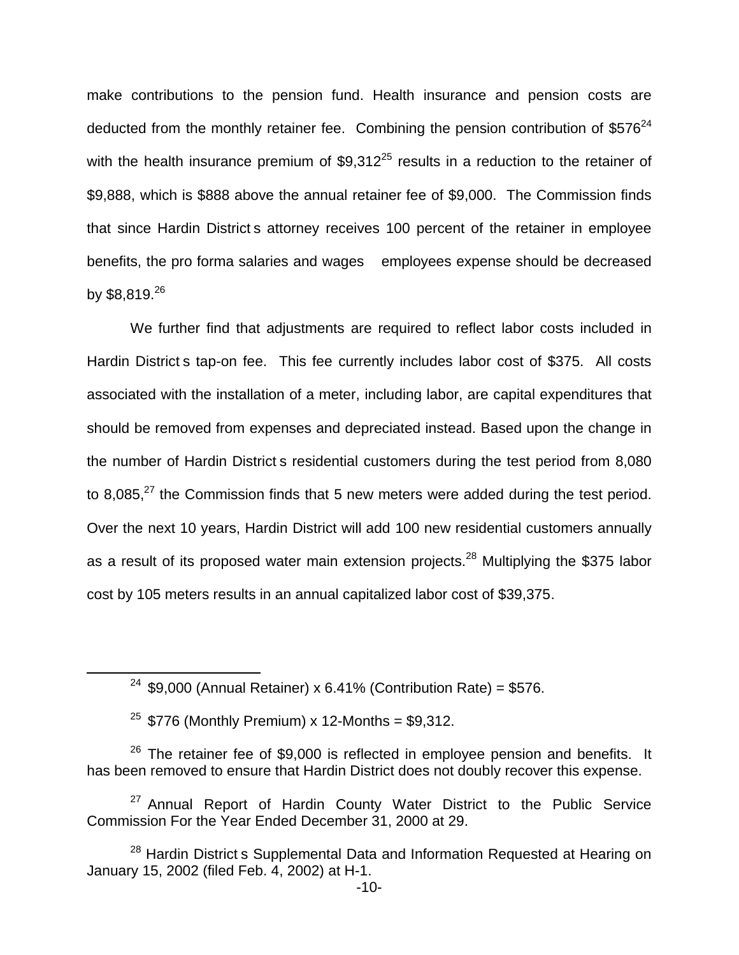make contributions to the pension fund. Health insurance and pension costs are deducted from the monthly retainer fee. Combining the pension contribution of  $$576<sup>24</sup>$ with the health insurance premium of  $$9.312^{25}$  results in a reduction to the retainer of \$9,888, which is \$888 above the annual retainer fee of \$9,000. The Commission finds that since Hardin District s attorney receives 100 percent of the retainer in employee benefits, the pro forma salaries and wages employees expense should be decreased by \$8,819.26

We further find that adjustments are required to reflect labor costs included in Hardin District s tap-on fee. This fee currently includes labor cost of \$375. All costs associated with the installation of a meter, including labor, are capital expenditures that should be removed from expenses and depreciated instead. Based upon the change in the number of Hardin District s residential customers during the test period from 8,080 to 8,085, $^{27}$  the Commission finds that 5 new meters were added during the test period. Over the next 10 years, Hardin District will add 100 new residential customers annually as a result of its proposed water main extension projects.<sup>28</sup> Multiplying the \$375 labor cost by 105 meters results in an annual capitalized labor cost of \$39,375.

<sup>&</sup>lt;sup>24</sup> \$9,000 (Annual Retainer) x 6.41% (Contribution Rate) = \$576.

 $25$  \$776 (Monthly Premium) x 12-Months = \$9,312.

 $26$  The retainer fee of \$9,000 is reflected in employee pension and benefits. It has been removed to ensure that Hardin District does not doubly recover this expense.

<sup>&</sup>lt;sup>27</sup> Annual Report of Hardin County Water District to the Public Service Commission For the Year Ended December 31, 2000 at 29.

<sup>&</sup>lt;sup>28</sup> Hardin District s Supplemental Data and Information Requested at Hearing on January 15, 2002 (filed Feb. 4, 2002) at H-1.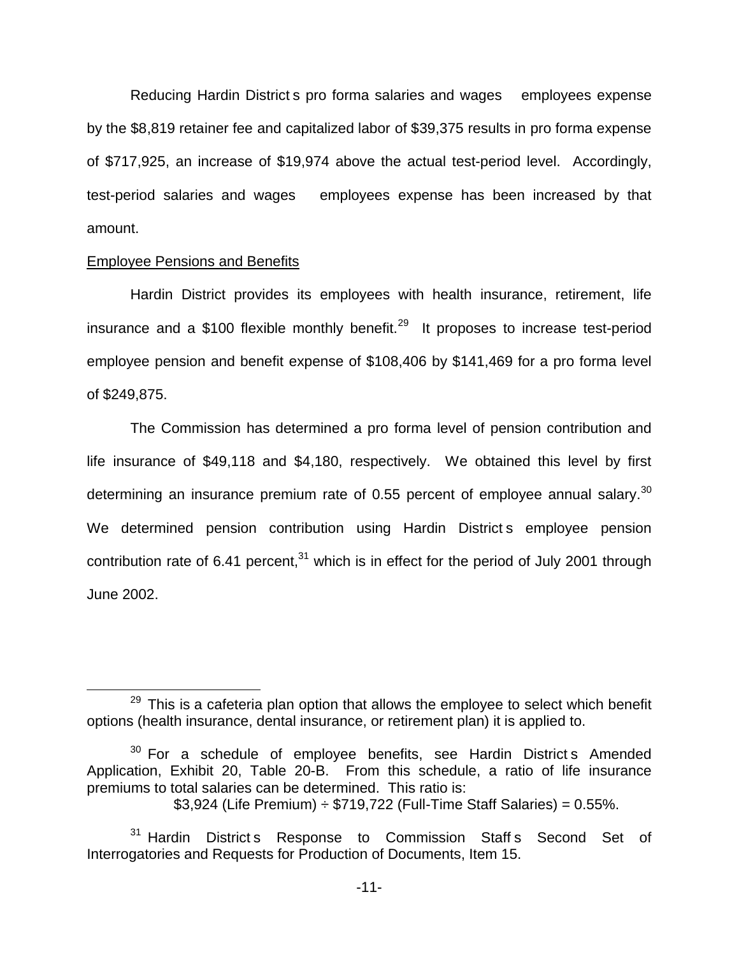Reducing Hardin District s pro forma salaries and wages employees expense by the \$8,819 retainer fee and capitalized labor of \$39,375 results in pro forma expense of \$717,925, an increase of \$19,974 above the actual test-period level. Accordingly, test-period salaries and wages employees expense has been increased by that amount.

#### Employee Pensions and Benefits

Hardin District provides its employees with health insurance, retirement, life insurance and a \$100 flexible monthly benefit.<sup>29</sup> It proposes to increase test-period employee pension and benefit expense of \$108,406 by \$141,469 for a pro forma level of \$249,875.

The Commission has determined a pro forma level of pension contribution and life insurance of \$49,118 and \$4,180, respectively. We obtained this level by first determining an insurance premium rate of 0.55 percent of employee annual salary. $30$ We determined pension contribution using Hardin District s employee pension contribution rate of 6.41 percent, $31$  which is in effect for the period of July 2001 through June 2002.

 $29$  This is a cafeteria plan option that allows the employee to select which benefit options (health insurance, dental insurance, or retirement plan) it is applied to.

 $30$  For a schedule of employee benefits, see Hardin District s Amended Application, Exhibit 20, Table 20-B. From this schedule, a ratio of life insurance premiums to total salaries can be determined. This ratio is:

 $$3,924$  (Life Premium)  $\div$  \$719,722 (Full-Time Staff Salaries) = 0.55%.

<sup>&</sup>lt;sup>31</sup> Hardin District s Response to Commission Staff s Second Set of Interrogatories and Requests for Production of Documents, Item 15.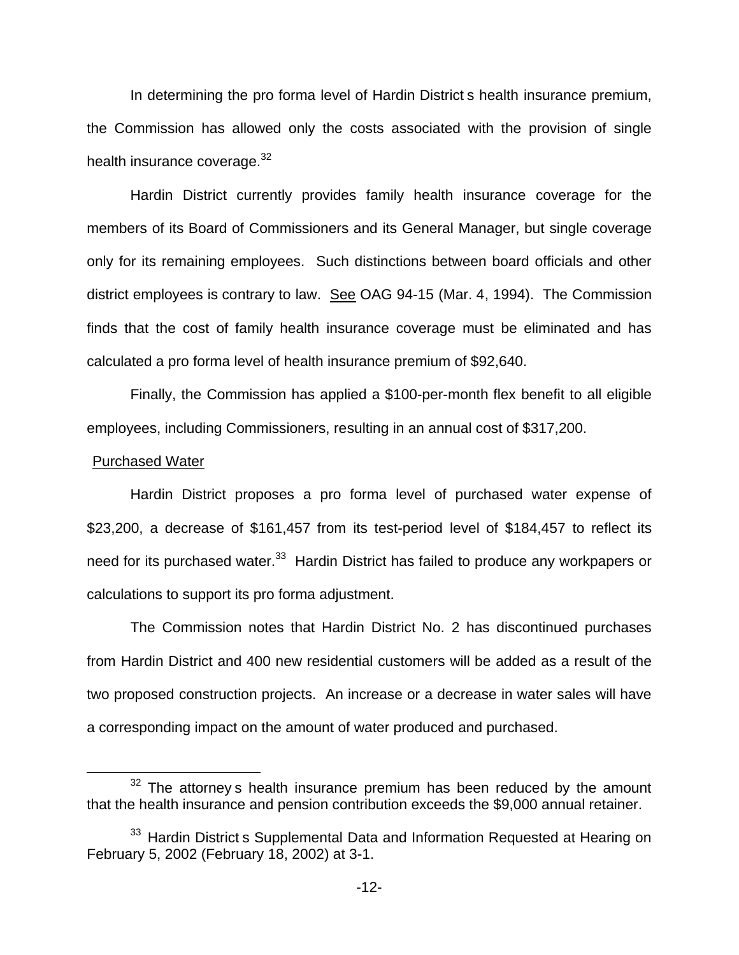In determining the pro forma level of Hardin District s health insurance premium, the Commission has allowed only the costs associated with the provision of single health insurance coverage.<sup>32</sup>

Hardin District currently provides family health insurance coverage for the members of its Board of Commissioners and its General Manager, but single coverage only for its remaining employees. Such distinctions between board officials and other district employees is contrary to law. See OAG 94-15 (Mar. 4, 1994). The Commission finds that the cost of family health insurance coverage must be eliminated and has calculated a pro forma level of health insurance premium of \$92,640.

Finally, the Commission has applied a \$100-per-month flex benefit to all eligible employees, including Commissioners, resulting in an annual cost of \$317,200.

#### Purchased Water

Hardin District proposes a pro forma level of purchased water expense of \$23,200, a decrease of \$161,457 from its test-period level of \$184,457 to reflect its need for its purchased water.<sup>33</sup> Hardin District has failed to produce any workpapers or calculations to support its pro forma adjustment.

The Commission notes that Hardin District No. 2 has discontinued purchases from Hardin District and 400 new residential customers will be added as a result of the two proposed construction projects. An increase or a decrease in water sales will have a corresponding impact on the amount of water produced and purchased.

 $32$  The attorney s health insurance premium has been reduced by the amount that the health insurance and pension contribution exceeds the \$9,000 annual retainer.

<sup>&</sup>lt;sup>33</sup> Hardin District s Supplemental Data and Information Requested at Hearing on February 5, 2002 (February 18, 2002) at 3-1.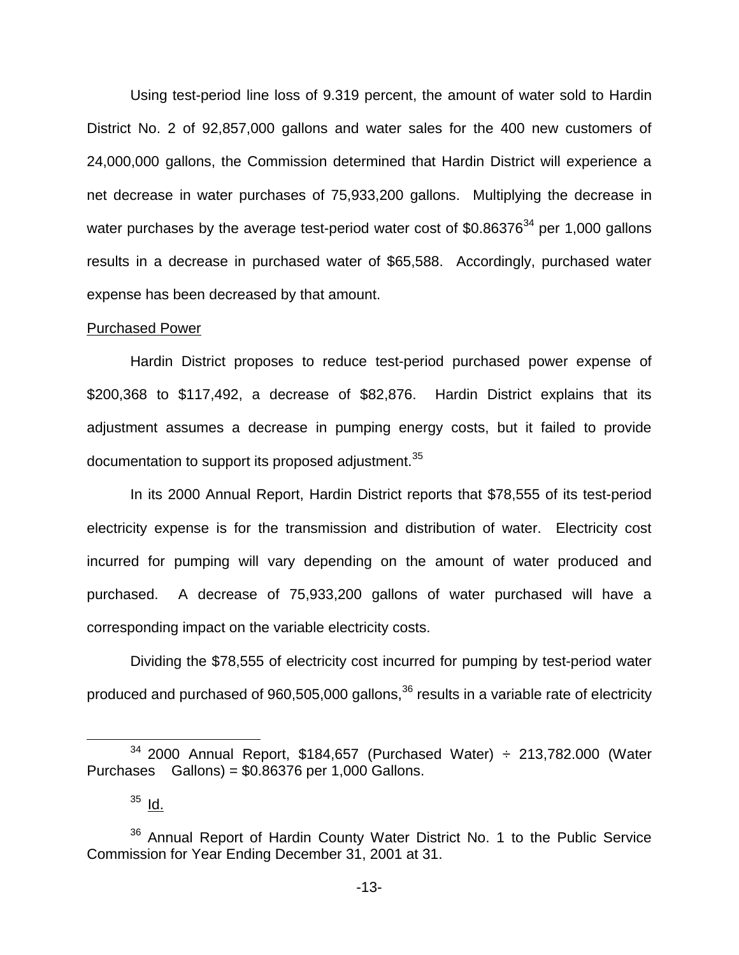Using test-period line loss of 9.319 percent, the amount of water sold to Hardin District No. 2 of 92,857,000 gallons and water sales for the 400 new customers of 24,000,000 gallons, the Commission determined that Hardin District will experience a net decrease in water purchases of 75,933,200 gallons. Multiplying the decrease in water purchases by the average test-period water cost of  $$0.86376<sup>34</sup>$  per 1,000 gallons results in a decrease in purchased water of \$65,588. Accordingly, purchased water expense has been decreased by that amount.

#### Purchased Power

Hardin District proposes to reduce test-period purchased power expense of \$200,368 to \$117,492, a decrease of \$82,876. Hardin District explains that its adjustment assumes a decrease in pumping energy costs, but it failed to provide documentation to support its proposed adjustment.<sup>35</sup>

In its 2000 Annual Report, Hardin District reports that \$78,555 of its test-period electricity expense is for the transmission and distribution of water. Electricity cost incurred for pumping will vary depending on the amount of water produced and purchased. A decrease of 75,933,200 gallons of water purchased will have a corresponding impact on the variable electricity costs.

Dividing the \$78,555 of electricity cost incurred for pumping by test-period water produced and purchased of 960,505,000 gallons,<sup>36</sup> results in a variable rate of electricity

 $34$  2000 Annual Report, \$184,657 (Purchased Water)  $\div$  213,782.000 (Water Purchases Gallons) = \$0.86376 per 1,000 Gallons.

 $35$   $1d.$ 

<sup>&</sup>lt;sup>36</sup> Annual Report of Hardin County Water District No. 1 to the Public Service Commission for Year Ending December 31, 2001 at 31.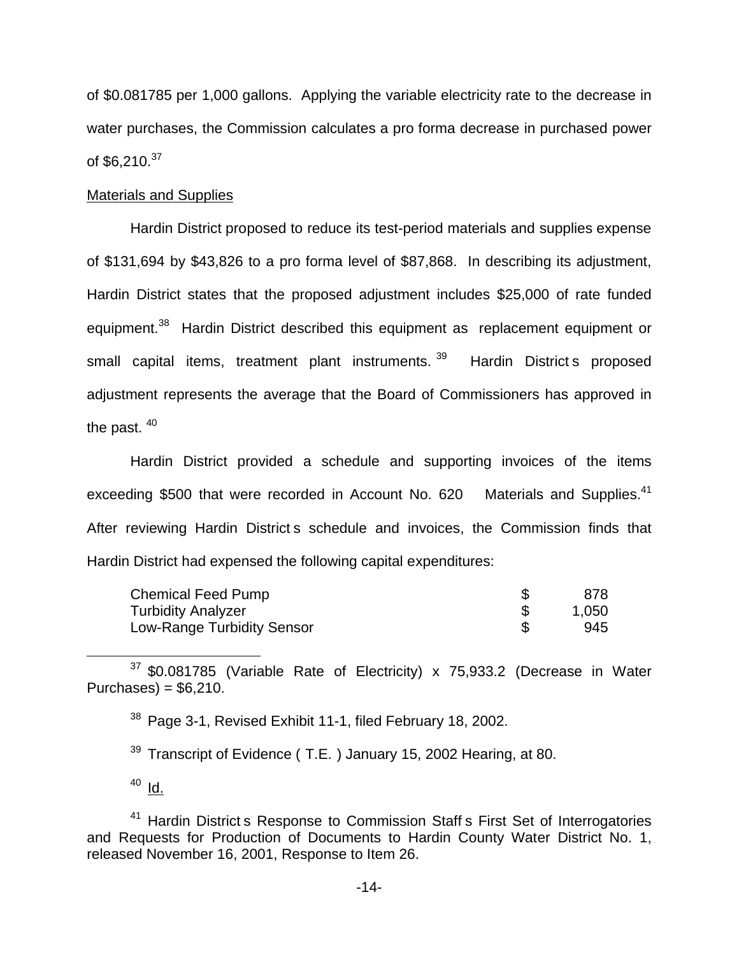of \$0.081785 per 1,000 gallons. Applying the variable electricity rate to the decrease in water purchases, the Commission calculates a pro forma decrease in purchased power of  $$6.210.<sup>37</sup>$ 

## Materials and Supplies

Hardin District proposed to reduce its test-period materials and supplies expense of \$131,694 by \$43,826 to a pro forma level of \$87,868. In describing its adjustment, Hardin District states that the proposed adjustment includes \$25,000 of rate funded equipment.<sup>38</sup> Hardin District described this equipment as replacement equipment or small capital items, treatment plant instruments.<sup>39</sup> Hardin District s proposed adjustment represents the average that the Board of Commissioners has approved in the past.<sup>40</sup>

Hardin District provided a schedule and supporting invoices of the items exceeding \$500 that were recorded in Account No. 620 Materials and Supplies.<sup>41</sup> After reviewing Hardin District s schedule and invoices, the Commission finds that Hardin District had expensed the following capital expenditures:

| Chemical Feed Pump         | 878.  |
|----------------------------|-------|
| <b>Turbidity Analyzer</b>  | 1,050 |
| Low-Range Turbidity Sensor | 945   |

<sup>37</sup> \$0.081785 (Variable Rate of Electricity) x 75,933.2 (Decrease in Water Purchases) =  $$6,210$ .

<sup>38</sup> Page 3-1, Revised Exhibit 11-1, filed February 18, 2002.

 $39$  Transcript of Evidence (T.E.) January 15, 2002 Hearing, at 80.

 $40$  Id.

<sup>41</sup> Hardin District s Response to Commission Staff s First Set of Interrogatories and Requests for Production of Documents to Hardin County Water District No. 1, released November 16, 2001, Response to Item 26.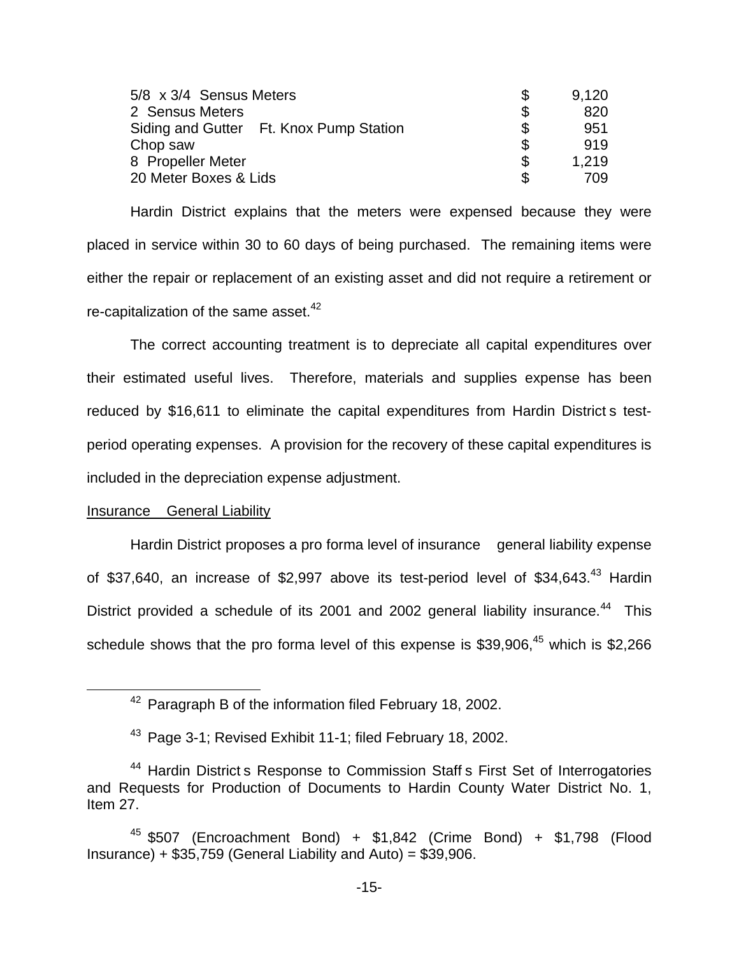| 5/8 x 3/4 Sensus Meters                 |   | 9,120 |
|-----------------------------------------|---|-------|
| 2 Sensus Meters                         | S | 820   |
| Siding and Gutter Ft. Knox Pump Station |   | 951   |
| Chop saw                                |   | 919   |
| 8 Propeller Meter                       | S | 1.219 |
| 20 Meter Boxes & Lids                   |   | 709   |

Hardin District explains that the meters were expensed because they were placed in service within 30 to 60 days of being purchased. The remaining items were either the repair or replacement of an existing asset and did not require a retirement or re-capitalization of the same asset. $42$ 

The correct accounting treatment is to depreciate all capital expenditures over their estimated useful lives. Therefore, materials and supplies expense has been reduced by \$16,611 to eliminate the capital expenditures from Hardin District s testperiod operating expenses. A provision for the recovery of these capital expenditures is included in the depreciation expense adjustment.

## Insurance General Liability

Hardin District proposes a pro forma level of insurance general liability expense of \$37,640, an increase of \$2,997 above its test-period level of \$34,643.<sup>43</sup> Hardin District provided a schedule of its 2001 and 2002 general liability insurance.<sup>44</sup> This schedule shows that the pro forma level of this expense is \$39,906.<sup>45</sup> which is \$2,266

<sup>&</sup>lt;sup>42</sup> Paragraph B of the information filed February 18, 2002.

<sup>&</sup>lt;sup>43</sup> Page 3-1; Revised Exhibit 11-1; filed February 18, 2002.

<sup>&</sup>lt;sup>44</sup> Hardin District s Response to Commission Staff s First Set of Interrogatories and Requests for Production of Documents to Hardin County Water District No. 1, Item 27.

 $45$  \$507 (Encroachment Bond) + \$1,842 (Crime Bond) + \$1,798 (Flood Insurance) +  $$35,759$  (General Liability and Auto) =  $$39,906$ .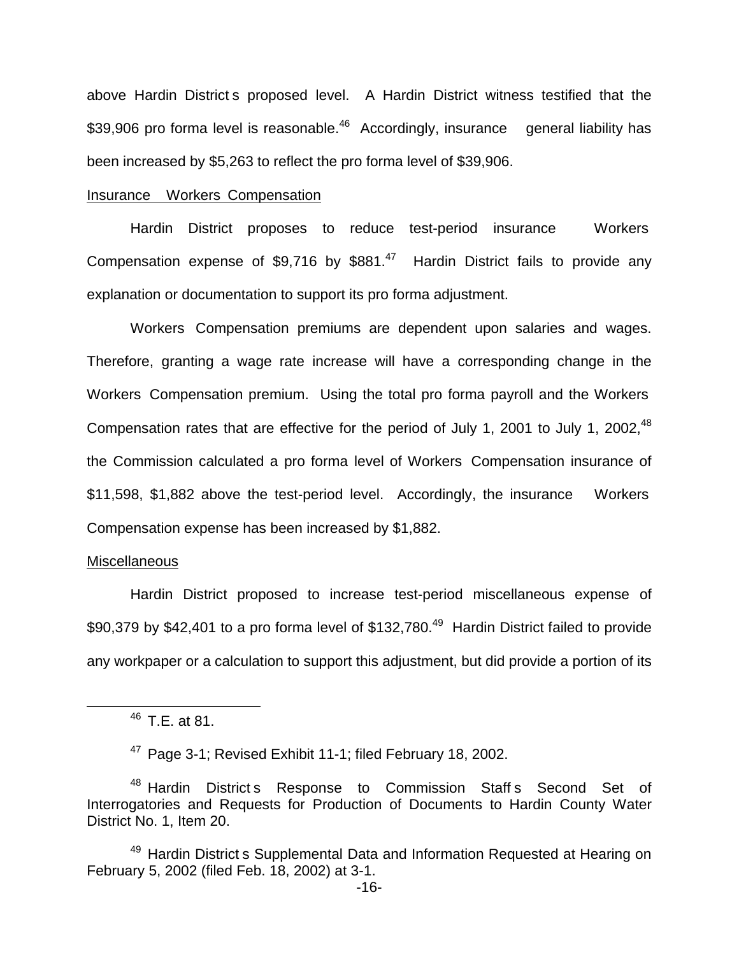above Hardin District s proposed level. A Hardin District witness testified that the \$39,906 pro forma level is reasonable.<sup>46</sup> Accordingly, insurance general liability has been increased by \$5,263 to reflect the pro forma level of \$39,906.

## Insurance Workers Compensation

Hardin District proposes to reduce test-period insurance Workers Compensation expense of \$9,716 by  $$881<sup>47</sup>$  Hardin District fails to provide any explanation or documentation to support its pro forma adjustment.

Workers Compensation premiums are dependent upon salaries and wages. Therefore, granting a wage rate increase will have a corresponding change in the Workers Compensation premium. Using the total pro forma payroll and the Workers Compensation rates that are effective for the period of July 1, 2001 to July 1, 2002,<sup>48</sup> the Commission calculated a pro forma level of Workers Compensation insurance of \$11,598, \$1,882 above the test-period level. Accordingly, the insurance Workers Compensation expense has been increased by \$1,882.

#### **Miscellaneous**

Hardin District proposed to increase test-period miscellaneous expense of \$90,379 by \$42,401 to a pro forma level of \$132,780.<sup>49</sup> Hardin District failed to provide any workpaper or a calculation to support this adjustment, but did provide a portion of its

<sup>46</sup> T.E. at 81.

<sup>47</sup> Page 3-1; Revised Exhibit 11-1; filed February 18, 2002.

<sup>&</sup>lt;sup>48</sup> Hardin District s Response to Commission Staff s Second Set of Interrogatories and Requests for Production of Documents to Hardin County Water District No. 1, Item 20.

<sup>&</sup>lt;sup>49</sup> Hardin District s Supplemental Data and Information Requested at Hearing on February 5, 2002 (filed Feb. 18, 2002) at 3-1.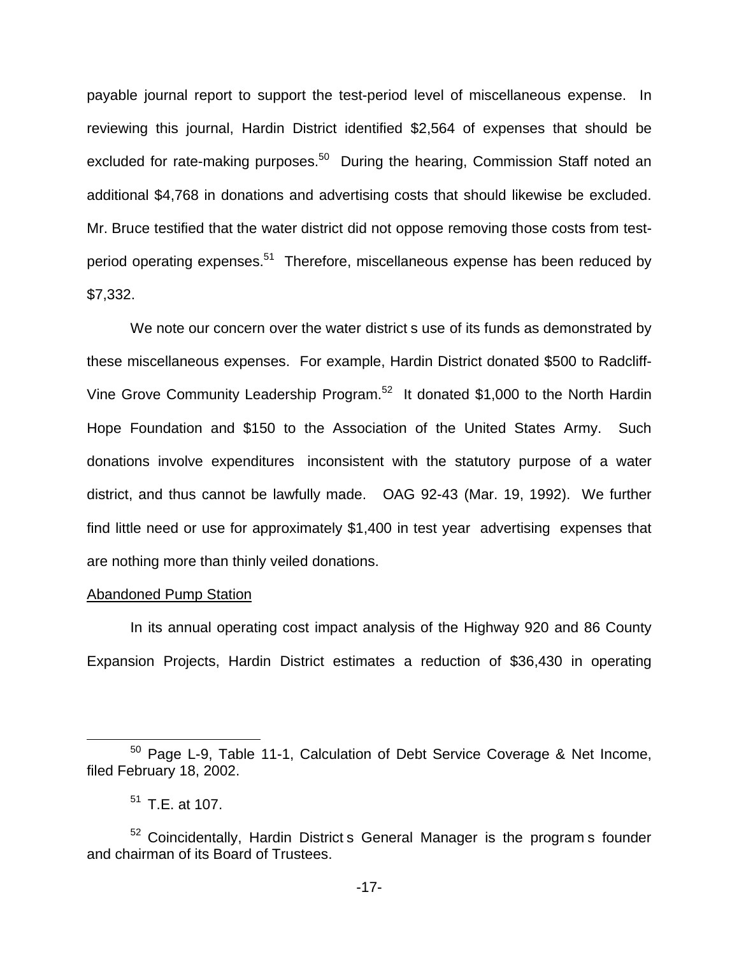payable journal report to support the test-period level of miscellaneous expense. In reviewing this journal, Hardin District identified \$2,564 of expenses that should be excluded for rate-making purposes.<sup>50</sup> During the hearing, Commission Staff noted an additional \$4,768 in donations and advertising costs that should likewise be excluded. Mr. Bruce testified that the water district did not oppose removing those costs from testperiod operating expenses.<sup>51</sup> Therefore, miscellaneous expense has been reduced by \$7,332.

We note our concern over the water district s use of its funds as demonstrated by these miscellaneous expenses. For example, Hardin District donated \$500 to Radcliff-Vine Grove Community Leadership Program.<sup>52</sup> It donated \$1,000 to the North Hardin Hope Foundation and \$150 to the Association of the United States Army. Such donations involve expenditures inconsistent with the statutory purpose of a water district, and thus cannot be lawfully made. OAG 92-43 (Mar. 19, 1992). We further find little need or use for approximately \$1,400 in test year advertising expenses that are nothing more than thinly veiled donations.

## Abandoned Pump Station

In its annual operating cost impact analysis of the Highway 920 and 86 County Expansion Projects, Hardin District estimates a reduction of \$36,430 in operating

<sup>50</sup> Page L-9, Table 11-1, Calculation of Debt Service Coverage & Net Income, filed February 18, 2002.

 $51$  T.E. at 107.

<sup>&</sup>lt;sup>52</sup> Coincidentally, Hardin District s General Manager is the program s founder and chairman of its Board of Trustees.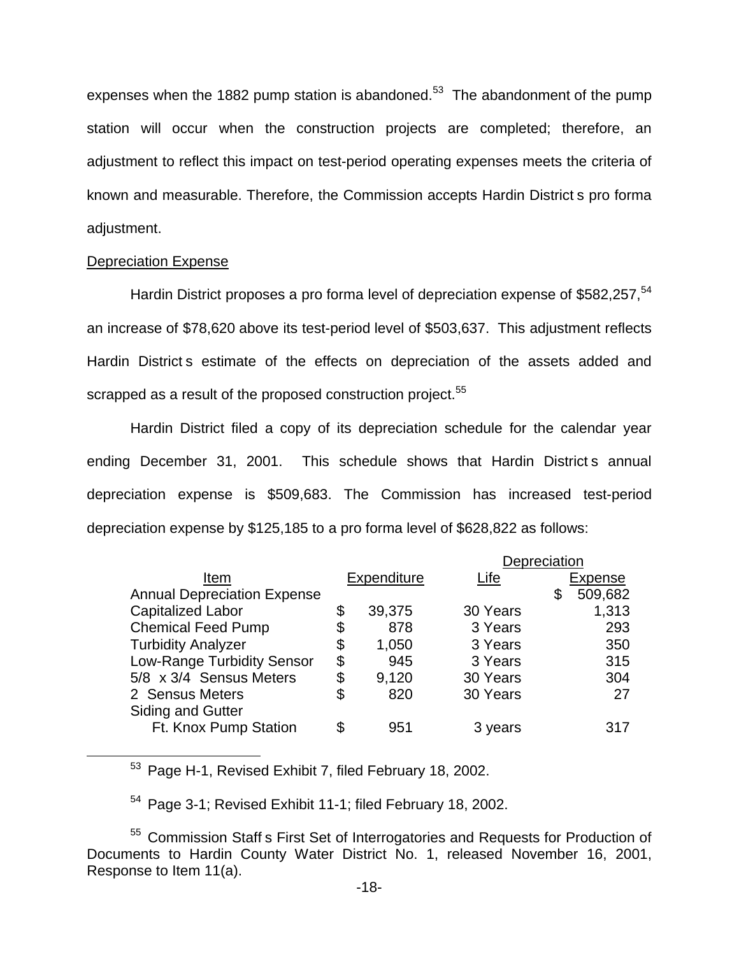expenses when the 1882 pump station is abandoned.<sup>53</sup> The abandonment of the pump station will occur when the construction projects are completed; therefore, an adjustment to reflect this impact on test-period operating expenses meets the criteria of known and measurable. Therefore, the Commission accepts Hardin District s pro forma adjustment.

# Depreciation Expense

Hardin District proposes a pro forma level of depreciation expense of \$582,257,<sup>54</sup> an increase of \$78,620 above its test-period level of \$503,637. This adjustment reflects Hardin District s estimate of the effects on depreciation of the assets added and scrapped as a result of the proposed construction project.<sup>55</sup>

Hardin District filed a copy of its depreciation schedule for the calendar year ending December 31, 2001. This schedule shows that Hardin District s annual depreciation expense is \$509,683. The Commission has increased test-period depreciation expense by \$125,185 to a pro forma level of \$628,822 as follows:

|                                    |    |             | Depreciation |                |
|------------------------------------|----|-------------|--------------|----------------|
| Item                               |    | Expenditure | Life         | <b>Expense</b> |
| <b>Annual Depreciation Expense</b> |    |             |              | \$<br>509,682  |
| <b>Capitalized Labor</b>           | \$ | 39,375      | 30 Years     | 1,313          |
| <b>Chemical Feed Pump</b>          | \$ | 878         | 3 Years      | 293            |
| <b>Turbidity Analyzer</b>          | \$ | 1,050       | 3 Years      | 350            |
| <b>Low-Range Turbidity Sensor</b>  | \$ | 945         | 3 Years      | 315            |
| 5/8 x 3/4 Sensus Meters            | \$ | 9,120       | 30 Years     | 304            |
| 2 Sensus Meters                    | S  | 820         | 30 Years     | 27             |
| <b>Siding and Gutter</b>           |    |             |              |                |
| Ft. Knox Pump Station              | \$ | 951         | 3 years      | 317            |
|                                    |    |             |              |                |

<sup>53</sup> Page H-1, Revised Exhibit 7, filed February 18, 2002.

<sup>54</sup> Page 3-1; Revised Exhibit 11-1; filed February 18, 2002.

<sup>55</sup> Commission Staff s First Set of Interrogatories and Requests for Production of Documents to Hardin County Water District No. 1, released November 16, 2001, Response to Item 11(a).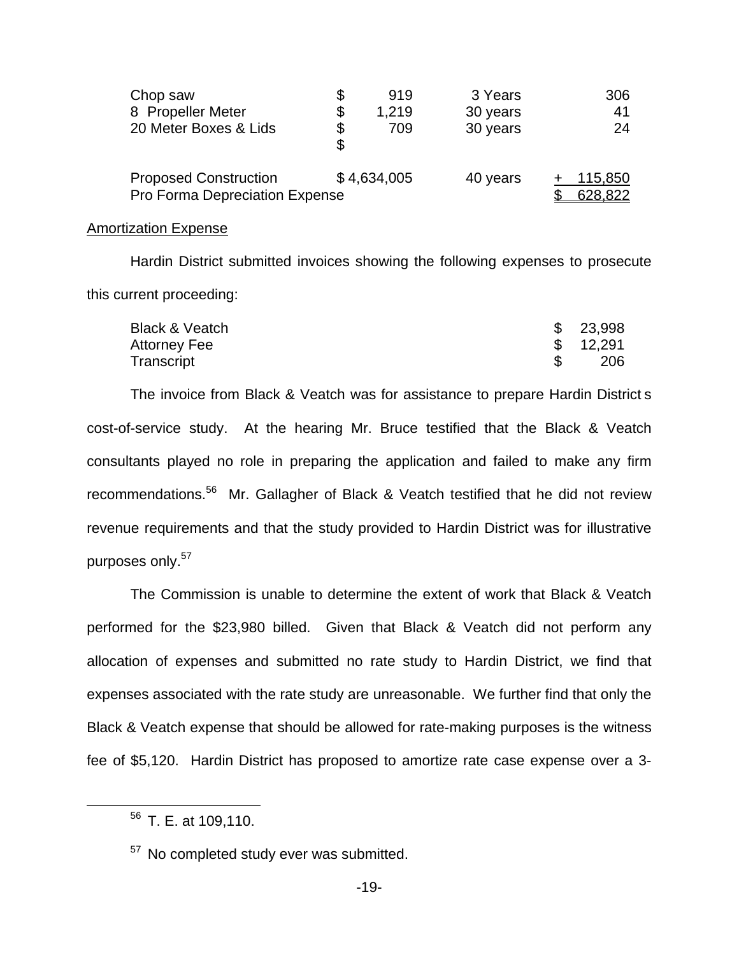| Chop saw                                                       | 919         | 3 Years  | 306                |
|----------------------------------------------------------------|-------------|----------|--------------------|
| 8 Propeller Meter                                              | 1,219       | 30 years | 41                 |
| 20 Meter Boxes & Lids                                          | \$<br>709   | 30 years | 24                 |
| <b>Proposed Construction</b><br>Pro Forma Depreciation Expense | \$4,634,005 | 40 years | 115,850<br>628,822 |

#### Amortization Expense

Hardin District submitted invoices showing the following expenses to prosecute this current proceeding:

| Black & Veatch | \$23,998  |
|----------------|-----------|
| Attorney Fee   | \$ 12,291 |
| Transcript     | 206       |

The invoice from Black & Veatch was for assistance to prepare Hardin District s cost-of-service study. At the hearing Mr. Bruce testified that the Black & Veatch consultants played no role in preparing the application and failed to make any firm recommendations.<sup>56</sup> Mr. Gallagher of Black & Veatch testified that he did not review revenue requirements and that the study provided to Hardin District was for illustrative purposes only.<sup>57</sup>

The Commission is unable to determine the extent of work that Black & Veatch performed for the \$23,980 billed. Given that Black & Veatch did not perform any allocation of expenses and submitted no rate study to Hardin District, we find that expenses associated with the rate study are unreasonable. We further find that only the Black & Veatch expense that should be allowed for rate-making purposes is the witness fee of \$5,120. Hardin District has proposed to amortize rate case expense over a 3-

<sup>56</sup> T. E. at 109,110.

<sup>&</sup>lt;sup>57</sup> No completed study ever was submitted.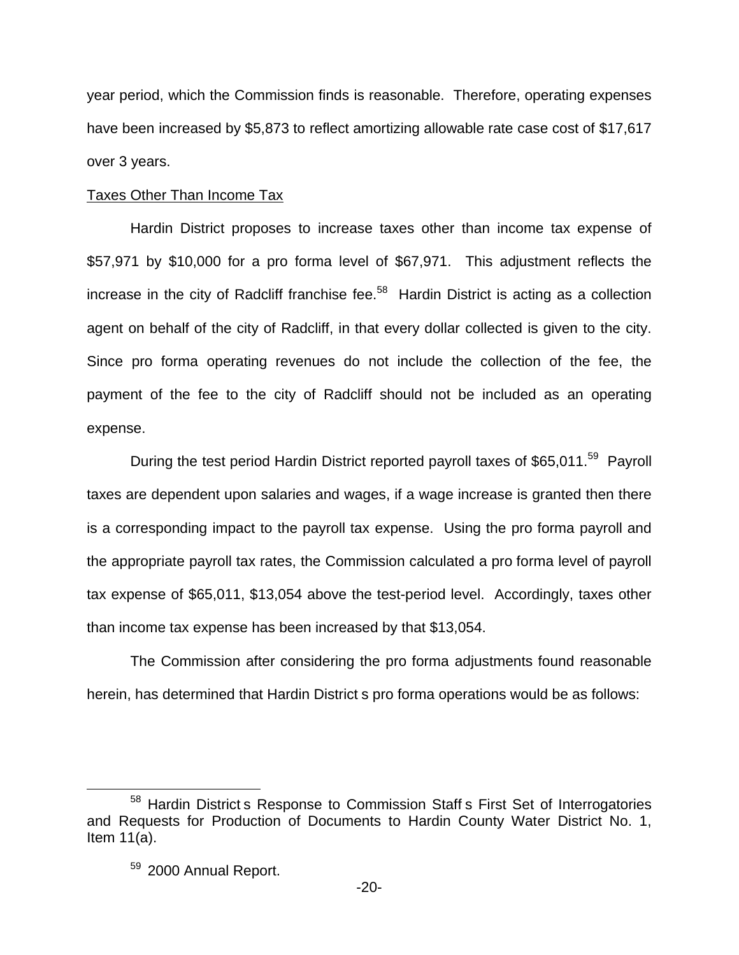year period, which the Commission finds is reasonable. Therefore, operating expenses have been increased by \$5,873 to reflect amortizing allowable rate case cost of \$17,617 over 3 years.

# Taxes Other Than Income Tax

Hardin District proposes to increase taxes other than income tax expense of \$57,971 by \$10,000 for a pro forma level of \$67,971. This adjustment reflects the increase in the city of Radcliff franchise fee.<sup>58</sup> Hardin District is acting as a collection agent on behalf of the city of Radcliff, in that every dollar collected is given to the city. Since pro forma operating revenues do not include the collection of the fee, the payment of the fee to the city of Radcliff should not be included as an operating expense.

During the test period Hardin District reported payroll taxes of \$65,011.<sup>59</sup> Payroll taxes are dependent upon salaries and wages, if a wage increase is granted then there is a corresponding impact to the payroll tax expense. Using the pro forma payroll and the appropriate payroll tax rates, the Commission calculated a pro forma level of payroll tax expense of \$65,011, \$13,054 above the test-period level. Accordingly, taxes other than income tax expense has been increased by that \$13,054.

The Commission after considering the pro forma adjustments found reasonable herein, has determined that Hardin District s pro forma operations would be as follows:

<sup>58</sup> Hardin District s Response to Commission Staff s First Set of Interrogatories and Requests for Production of Documents to Hardin County Water District No. 1, Item 11(a).

<sup>59 2000</sup> Annual Report.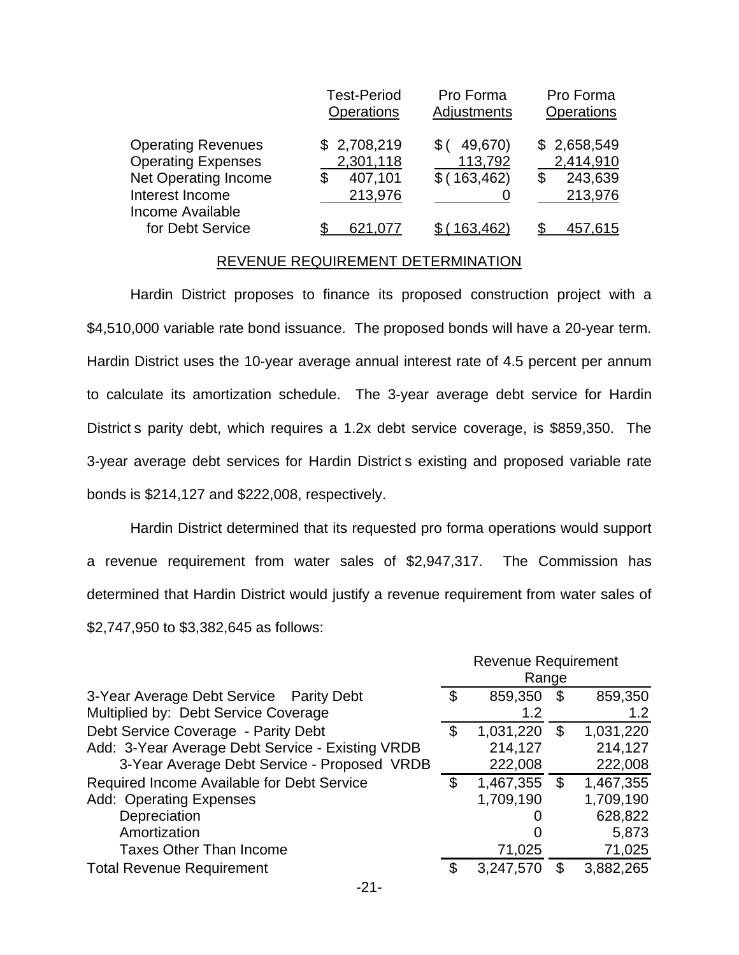|                                                                                                   | <b>Test-Period</b><br>Operations               | Pro Forma<br>Adjustments           | Pro Forma<br><b>Operations</b>                 |
|---------------------------------------------------------------------------------------------------|------------------------------------------------|------------------------------------|------------------------------------------------|
| <b>Operating Revenues</b><br><b>Operating Expenses</b><br>Net Operating Income<br>Interest Income | \$2,708,219<br>2,301,118<br>407,101<br>213,976 | 49,670)<br>113,792<br>\$(163, 462) | \$2,658,549<br>2,414,910<br>243,639<br>213,976 |
| Income Available<br>for Debt Service                                                              |                                                | 163.462)                           | 457,615                                        |

#### REVENUE REQUIREMENT DETERMINATION

Hardin District proposes to finance its proposed construction project with a \$4,510,000 variable rate bond issuance. The proposed bonds will have a 20-year term. Hardin District uses the 10-year average annual interest rate of 4.5 percent per annum to calculate its amortization schedule. The 3-year average debt service for Hardin District s parity debt, which requires a 1.2x debt service coverage, is \$859,350. The 3-year average debt services for Hardin District s existing and proposed variable rate bonds is \$214,127 and \$222,008, respectively.

Hardin District determined that its requested pro forma operations would support a revenue requirement from water sales of \$2,947,317. The Commission has determined that Hardin District would justify a revenue requirement from water sales of \$2,747,950 to \$3,382,645 as follows:

|                                                  | <b>Revenue Requirement</b> |               |    |           |
|--------------------------------------------------|----------------------------|---------------|----|-----------|
|                                                  |                            | Range         |    |           |
| 3-Year Average Debt Service Parity Debt          | \$                         | 859,350       | \$ | 859,350   |
| Multiplied by: Debt Service Coverage             |                            | 1.2           |    | 1.2       |
| Debt Service Coverage - Parity Debt              | \$                         | 1,031,220     | \$ | 1,031,220 |
| Add: 3-Year Average Debt Service - Existing VRDB |                            | 214,127       |    | 214,127   |
| 3-Year Average Debt Service - Proposed VRDB      |                            | 222,008       |    | 222,008   |
| Required Income Available for Debt Service       | \$                         | 1,467,355     | \$ | 1,467,355 |
| <b>Add: Operating Expenses</b>                   |                            | 1,709,190     |    | 1,709,190 |
| Depreciation                                     |                            | $\mathcal{L}$ |    | 628,822   |
| Amortization                                     |                            | O             |    | 5,873     |
| <b>Taxes Other Than Income</b>                   |                            | 71,025        |    | 71,025    |
| <b>Total Revenue Requirement</b>                 | S                          | 3,247,570     |    | 3,882,265 |

-21-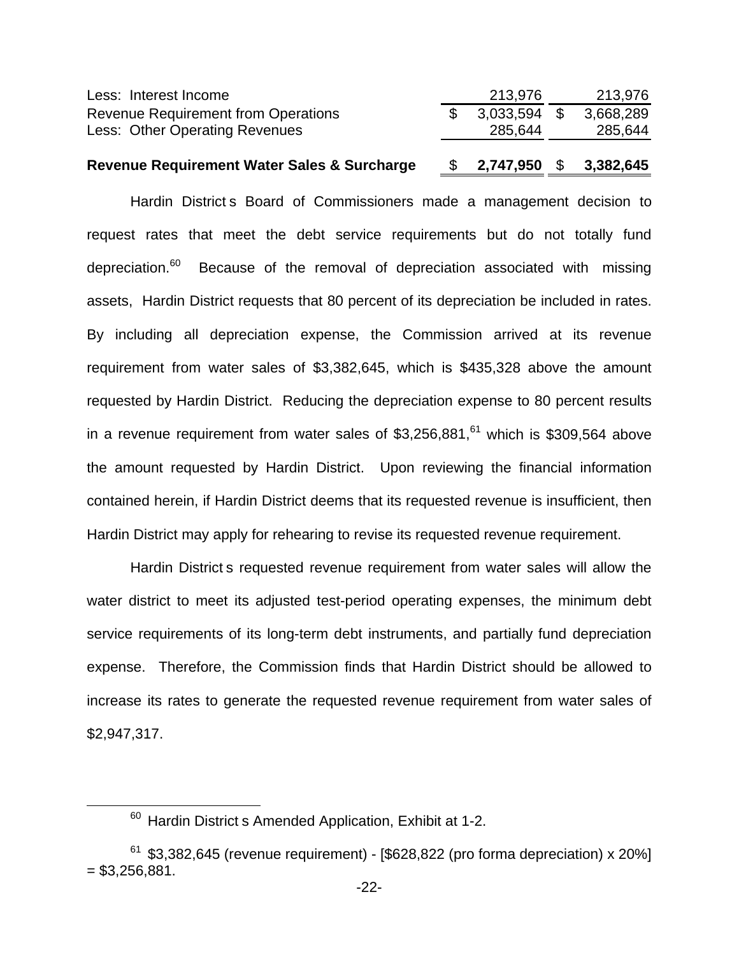| <b>Revenue Requirement Water Sales &amp; Surcharge</b> | <b>S</b> | 2.747.950      | - \$ | 3,382,645 |
|--------------------------------------------------------|----------|----------------|------|-----------|
| Less: Other Operating Revenues                         |          | 285,644        |      | 285,644   |
| <b>Revenue Requirement from Operations</b>             |          | $3,033,594$ \$ |      | 3,668,289 |
| Less: Interest Income                                  |          | 213,976        |      | 213,976   |

Hardin District s Board of Commissioners made a management decision to request rates that meet the debt service requirements but do not totally fund depreciation. $60$  Because of the removal of depreciation associated with missing assets, Hardin District requests that 80 percent of its depreciation be included in rates. By including all depreciation expense, the Commission arrived at its revenue requirement from water sales of \$3,382,645, which is \$435,328 above the amount requested by Hardin District. Reducing the depreciation expense to 80 percent results in a revenue requirement from water sales of  $$3,256,881<sup>61</sup>$  which is \$309,564 above the amount requested by Hardin District. Upon reviewing the financial information contained herein, if Hardin District deems that its requested revenue is insufficient, then Hardin District may apply for rehearing to revise its requested revenue requirement.

Hardin District s requested revenue requirement from water sales will allow the water district to meet its adjusted test-period operating expenses, the minimum debt service requirements of its long-term debt instruments, and partially fund depreciation expense. Therefore, the Commission finds that Hardin District should be allowed to increase its rates to generate the requested revenue requirement from water sales of \$2,947,317.

 $60$  Hardin District s Amended Application, Exhibit at 1-2.

 $61$  \$3,382,645 (revenue requirement) - [\$628,822 (pro forma depreciation) x 20%]  $=$  \$3,256,881.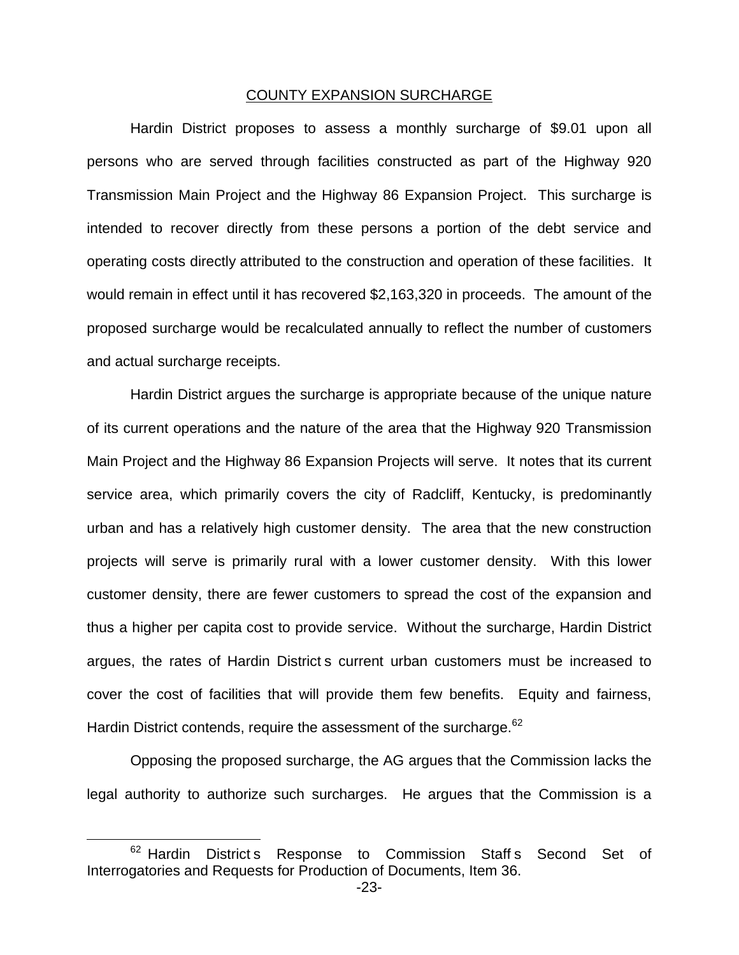#### COUNTY EXPANSION SURCHARGE

Hardin District proposes to assess a monthly surcharge of \$9.01 upon all persons who are served through facilities constructed as part of the Highway 920 Transmission Main Project and the Highway 86 Expansion Project. This surcharge is intended to recover directly from these persons a portion of the debt service and operating costs directly attributed to the construction and operation of these facilities. It would remain in effect until it has recovered \$2,163,320 in proceeds. The amount of the proposed surcharge would be recalculated annually to reflect the number of customers and actual surcharge receipts.

Hardin District argues the surcharge is appropriate because of the unique nature of its current operations and the nature of the area that the Highway 920 Transmission Main Project and the Highway 86 Expansion Projects will serve. It notes that its current service area, which primarily covers the city of Radcliff, Kentucky, is predominantly urban and has a relatively high customer density. The area that the new construction projects will serve is primarily rural with a lower customer density. With this lower customer density, there are fewer customers to spread the cost of the expansion and thus a higher per capita cost to provide service. Without the surcharge, Hardin District argues, the rates of Hardin District s current urban customers must be increased to cover the cost of facilities that will provide them few benefits. Equity and fairness, Hardin District contends, require the assessment of the surcharge.<sup>62</sup>

Opposing the proposed surcharge, the AG argues that the Commission lacks the legal authority to authorize such surcharges. He argues that the Commission is a

<sup>&</sup>lt;sup>62</sup> Hardin District s Response to Commission Staff s Second Set of Interrogatories and Requests for Production of Documents, Item 36.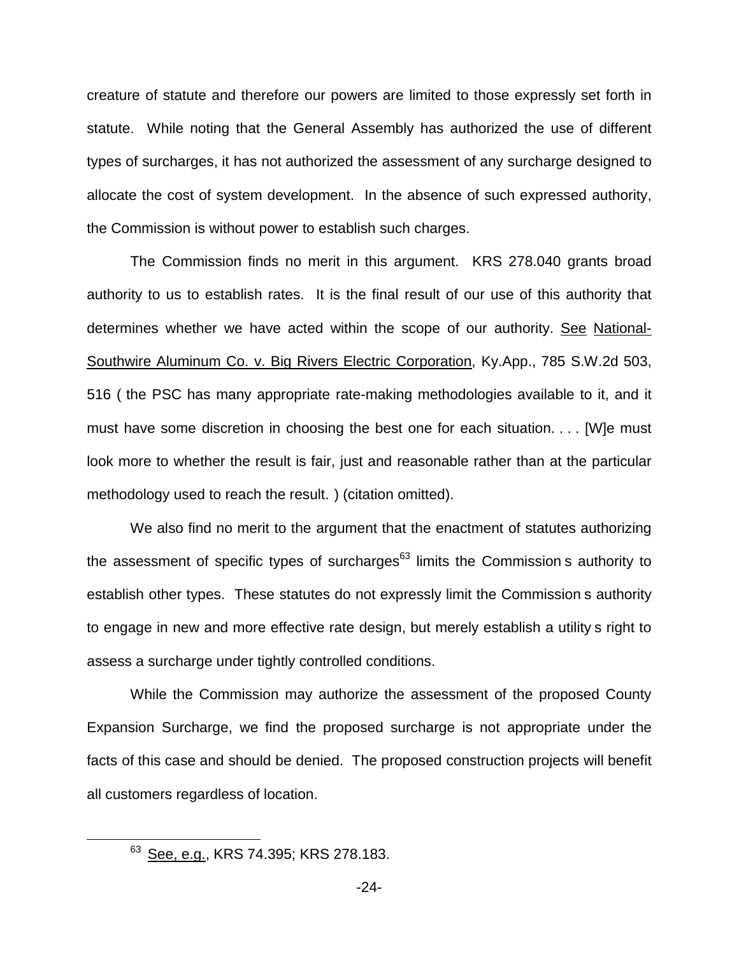creature of statute and therefore our powers are limited to those expressly set forth in statute. While noting that the General Assembly has authorized the use of different types of surcharges, it has not authorized the assessment of any surcharge designed to allocate the cost of system development. In the absence of such expressed authority, the Commission is without power to establish such charges.

The Commission finds no merit in this argument. KRS 278.040 grants broad authority to us to establish rates. It is the final result of our use of this authority that determines whether we have acted within the scope of our authority. See National-Southwire Aluminum Co. v. Big Rivers Electric Corporation, Ky.App., 785 S.W.2d 503, 516 ( the PSC has many appropriate rate-making methodologies available to it, and it must have some discretion in choosing the best one for each situation. . . . [W]e must look more to whether the result is fair, just and reasonable rather than at the particular methodology used to reach the result. ) (citation omitted).

We also find no merit to the argument that the enactment of statutes authorizing the assessment of specific types of surcharges $63$  limits the Commission s authority to establish other types. These statutes do not expressly limit the Commission s authority to engage in new and more effective rate design, but merely establish a utility s right to assess a surcharge under tightly controlled conditions.

While the Commission may authorize the assessment of the proposed County Expansion Surcharge, we find the proposed surcharge is not appropriate under the facts of this case and should be denied. The proposed construction projects will benefit all customers regardless of location.

<sup>63</sup> See, e.g., KRS 74.395; KRS 278.183.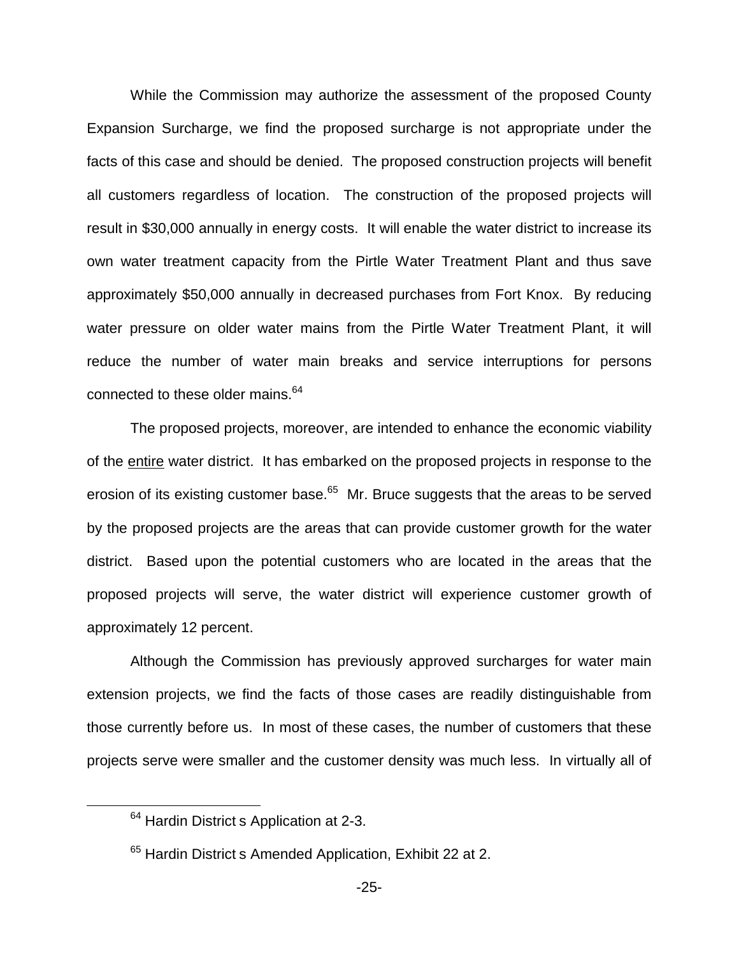While the Commission may authorize the assessment of the proposed County Expansion Surcharge, we find the proposed surcharge is not appropriate under the facts of this case and should be denied. The proposed construction projects will benefit all customers regardless of location. The construction of the proposed projects will result in \$30,000 annually in energy costs. It will enable the water district to increase its own water treatment capacity from the Pirtle Water Treatment Plant and thus save approximately \$50,000 annually in decreased purchases from Fort Knox. By reducing water pressure on older water mains from the Pirtle Water Treatment Plant, it will reduce the number of water main breaks and service interruptions for persons connected to these older mains.<sup>64</sup>

The proposed projects, moreover, are intended to enhance the economic viability of the entire water district. It has embarked on the proposed projects in response to the erosion of its existing customer base. $65$  Mr. Bruce suggests that the areas to be served by the proposed projects are the areas that can provide customer growth for the water district. Based upon the potential customers who are located in the areas that the proposed projects will serve, the water district will experience customer growth of approximately 12 percent.

Although the Commission has previously approved surcharges for water main extension projects, we find the facts of those cases are readily distinguishable from those currently before us. In most of these cases, the number of customers that these projects serve were smaller and the customer density was much less. In virtually all of

<sup>&</sup>lt;sup>64</sup> Hardin District s Application at 2-3.

 $65$  Hardin District s Amended Application, Exhibit 22 at 2.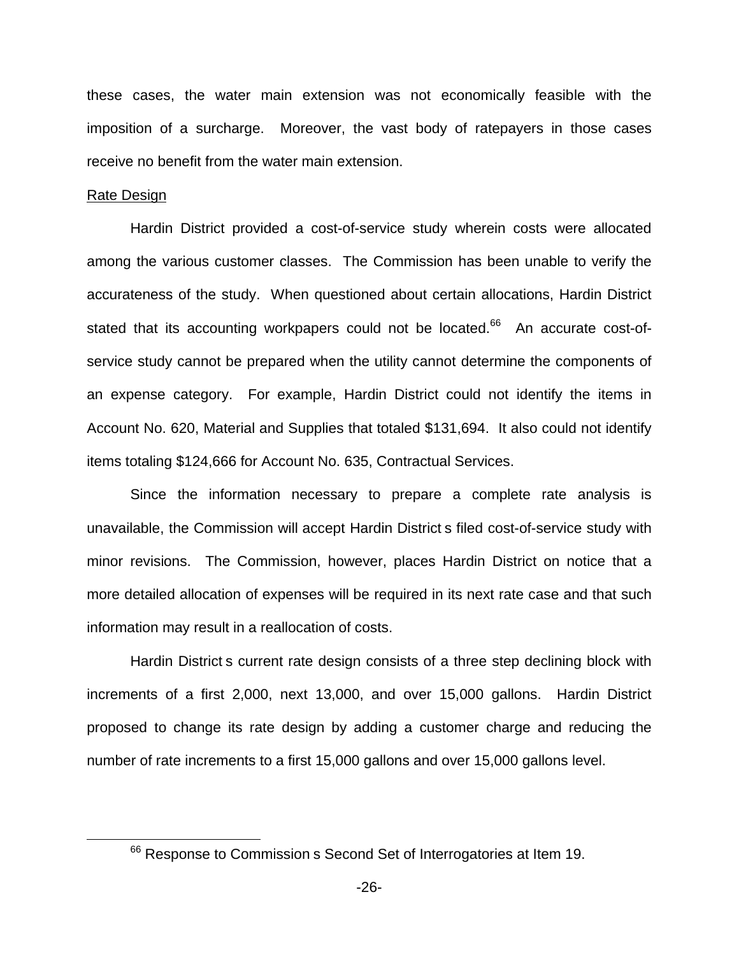these cases, the water main extension was not economically feasible with the imposition of a surcharge. Moreover, the vast body of ratepayers in those cases receive no benefit from the water main extension.

#### Rate Design

Hardin District provided a cost-of-service study wherein costs were allocated among the various customer classes. The Commission has been unable to verify the accurateness of the study. When questioned about certain allocations, Hardin District stated that its accounting workpapers could not be located.<sup>66</sup> An accurate cost-ofservice study cannot be prepared when the utility cannot determine the components of an expense category. For example, Hardin District could not identify the items in Account No. 620, Material and Supplies that totaled \$131,694. It also could not identify items totaling \$124,666 for Account No. 635, Contractual Services.

Since the information necessary to prepare a complete rate analysis is unavailable, the Commission will accept Hardin District s filed cost-of-service study with minor revisions. The Commission, however, places Hardin District on notice that a more detailed allocation of expenses will be required in its next rate case and that such information may result in a reallocation of costs.

Hardin District s current rate design consists of a three step declining block with increments of a first 2,000, next 13,000, and over 15,000 gallons. Hardin District proposed to change its rate design by adding a customer charge and reducing the number of rate increments to a first 15,000 gallons and over 15,000 gallons level.

<sup>&</sup>lt;sup>66</sup> Response to Commission s Second Set of Interrogatories at Item 19.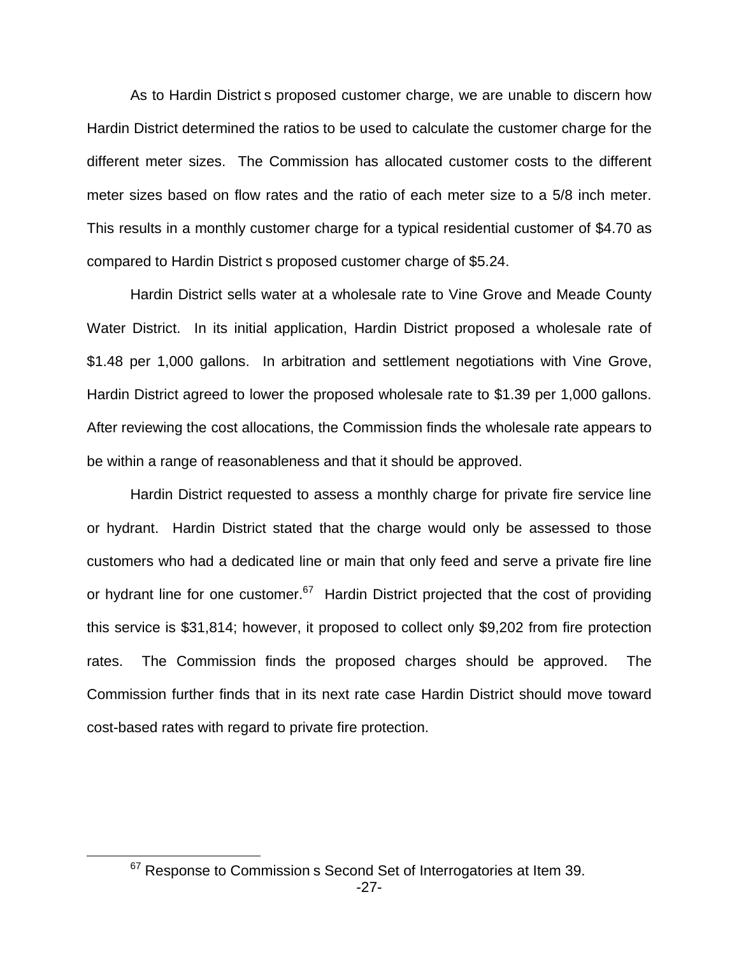As to Hardin District s proposed customer charge, we are unable to discern how Hardin District determined the ratios to be used to calculate the customer charge for the different meter sizes. The Commission has allocated customer costs to the different meter sizes based on flow rates and the ratio of each meter size to a 5/8 inch meter. This results in a monthly customer charge for a typical residential customer of \$4.70 as compared to Hardin District s proposed customer charge of \$5.24.

Hardin District sells water at a wholesale rate to Vine Grove and Meade County Water District. In its initial application, Hardin District proposed a wholesale rate of \$1.48 per 1,000 gallons. In arbitration and settlement negotiations with Vine Grove, Hardin District agreed to lower the proposed wholesale rate to \$1.39 per 1,000 gallons. After reviewing the cost allocations, the Commission finds the wholesale rate appears to be within a range of reasonableness and that it should be approved.

Hardin District requested to assess a monthly charge for private fire service line or hydrant. Hardin District stated that the charge would only be assessed to those customers who had a dedicated line or main that only feed and serve a private fire line or hydrant line for one customer.<sup>67</sup> Hardin District projected that the cost of providing this service is \$31,814; however, it proposed to collect only \$9,202 from fire protection rates. The Commission finds the proposed charges should be approved. The Commission further finds that in its next rate case Hardin District should move toward cost-based rates with regard to private fire protection.

 $67$  Response to Commission s Second Set of Interrogatories at Item 39.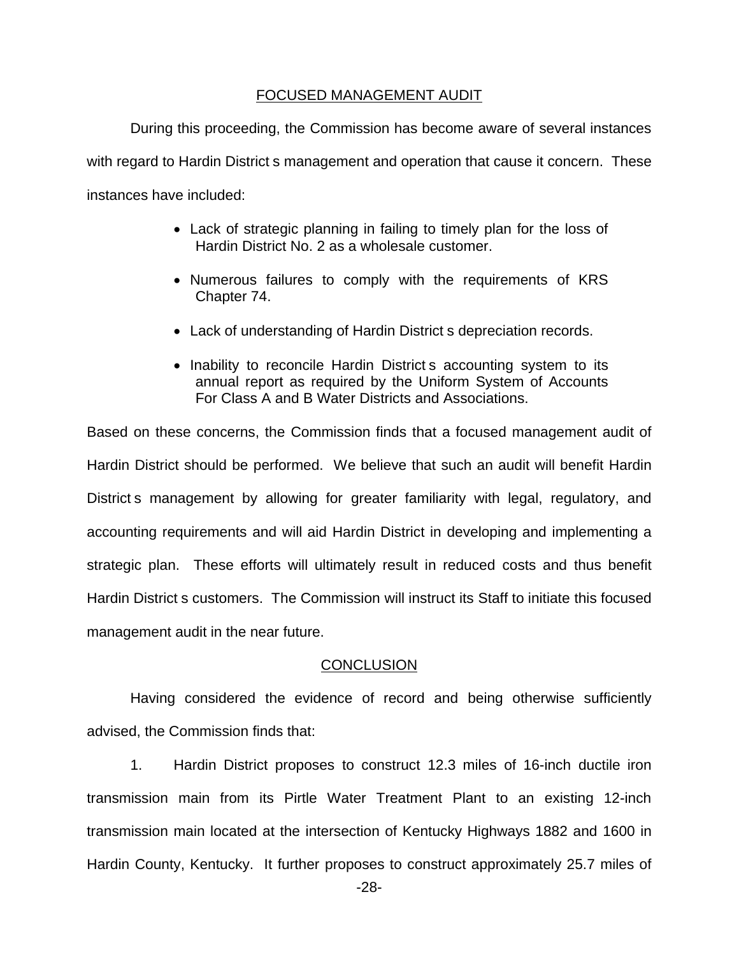## FOCUSED MANAGEMENT AUDIT

During this proceeding, the Commission has become aware of several instances with regard to Hardin District s management and operation that cause it concern. These instances have included:

- Lack of strategic planning in failing to timely plan for the loss of Hardin District No. 2 as a wholesale customer.
- Numerous failures to comply with the requirements of KRS Chapter 74.
- Lack of understanding of Hardin District s depreciation records.
- Inability to reconcile Hardin District s accounting system to its annual report as required by the Uniform System of Accounts For Class A and B Water Districts and Associations.

Based on these concerns, the Commission finds that a focused management audit of Hardin District should be performed. We believe that such an audit will benefit Hardin District s management by allowing for greater familiarity with legal, regulatory, and accounting requirements and will aid Hardin District in developing and implementing a strategic plan. These efforts will ultimately result in reduced costs and thus benefit Hardin District s customers. The Commission will instruct its Staff to initiate this focused management audit in the near future.

# **CONCLUSION**

Having considered the evidence of record and being otherwise sufficiently advised, the Commission finds that:

1. Hardin District proposes to construct 12.3 miles of 16-inch ductile iron transmission main from its Pirtle Water Treatment Plant to an existing 12-inch transmission main located at the intersection of Kentucky Highways 1882 and 1600 in Hardin County, Kentucky. It further proposes to construct approximately 25.7 miles of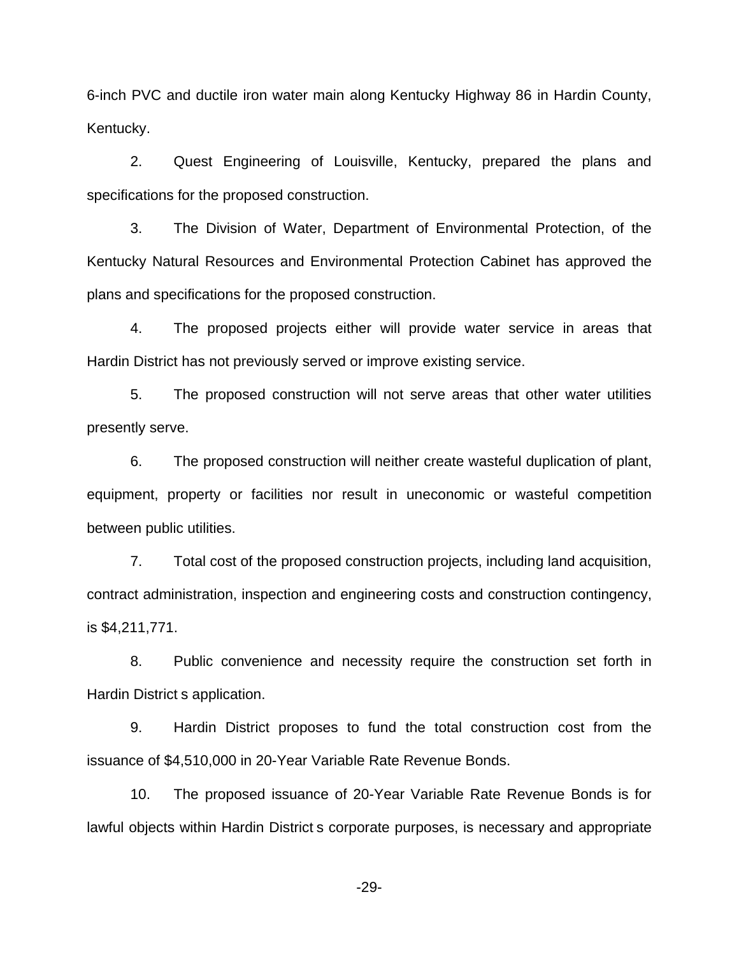6-inch PVC and ductile iron water main along Kentucky Highway 86 in Hardin County, Kentucky.

2. Quest Engineering of Louisville, Kentucky, prepared the plans and specifications for the proposed construction.

3. The Division of Water, Department of Environmental Protection, of the Kentucky Natural Resources and Environmental Protection Cabinet has approved the plans and specifications for the proposed construction.

4. The proposed projects either will provide water service in areas that Hardin District has not previously served or improve existing service.

5. The proposed construction will not serve areas that other water utilities presently serve.

6. The proposed construction will neither create wasteful duplication of plant, equipment, property or facilities nor result in uneconomic or wasteful competition between public utilities.

7. Total cost of the proposed construction projects, including land acquisition, contract administration, inspection and engineering costs and construction contingency, is \$4,211,771.

8. Public convenience and necessity require the construction set forth in Hardin District s application.

9. Hardin District proposes to fund the total construction cost from the issuance of \$4,510,000 in 20-Year Variable Rate Revenue Bonds.

10. The proposed issuance of 20-Year Variable Rate Revenue Bonds is for lawful objects within Hardin District s corporate purposes, is necessary and appropriate

-29-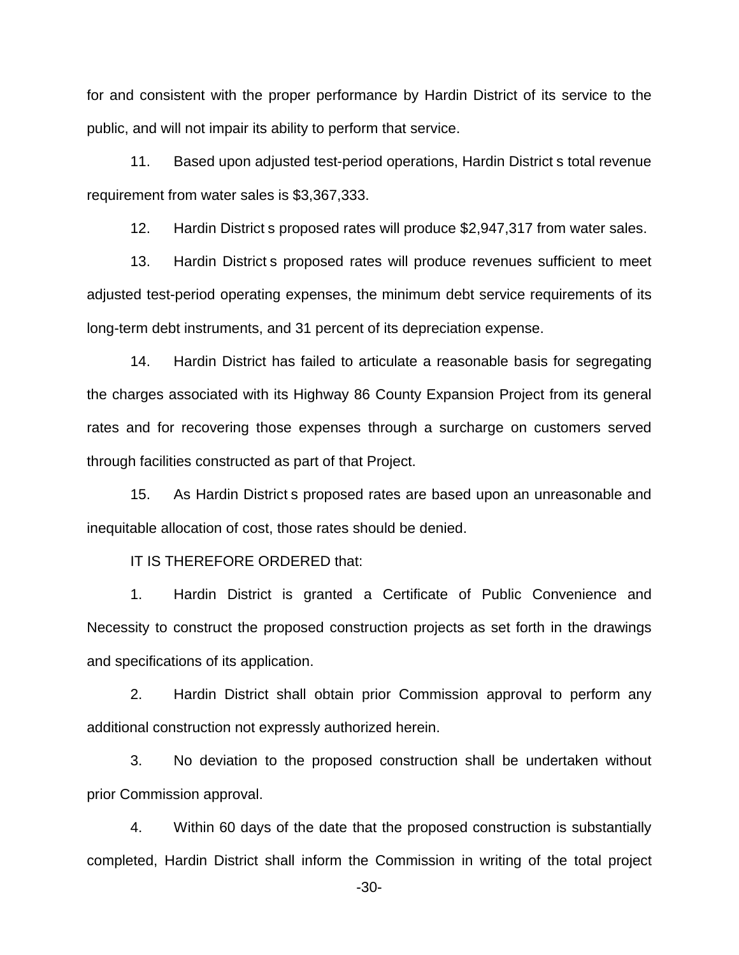for and consistent with the proper performance by Hardin District of its service to the public, and will not impair its ability to perform that service.

11. Based upon adjusted test-period operations, Hardin District s total revenue requirement from water sales is \$3,367,333.

12. Hardin District s proposed rates will produce \$2,947,317 from water sales.

13. Hardin District s proposed rates will produce revenues sufficient to meet adjusted test-period operating expenses, the minimum debt service requirements of its long-term debt instruments, and 31 percent of its depreciation expense.

14. Hardin District has failed to articulate a reasonable basis for segregating the charges associated with its Highway 86 County Expansion Project from its general rates and for recovering those expenses through a surcharge on customers served through facilities constructed as part of that Project.

15. As Hardin District s proposed rates are based upon an unreasonable and inequitable allocation of cost, those rates should be denied.

IT IS THEREFORE ORDERED that:

1. Hardin District is granted a Certificate of Public Convenience and Necessity to construct the proposed construction projects as set forth in the drawings and specifications of its application.

2. Hardin District shall obtain prior Commission approval to perform any additional construction not expressly authorized herein.

3. No deviation to the proposed construction shall be undertaken without prior Commission approval.

4. Within 60 days of the date that the proposed construction is substantially completed, Hardin District shall inform the Commission in writing of the total project

-30-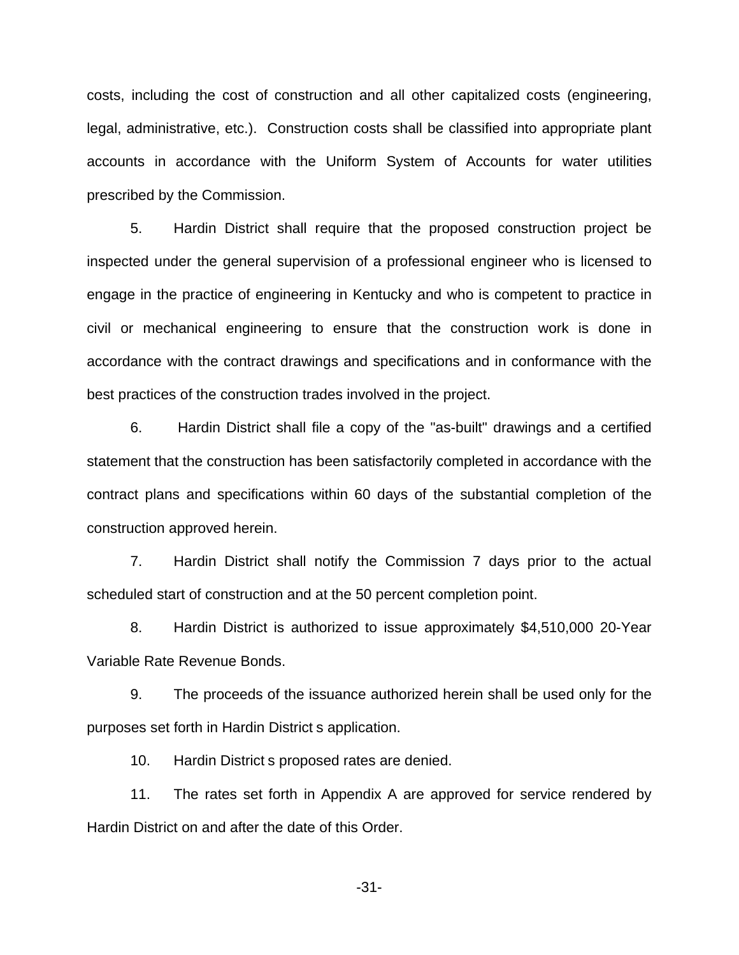costs, including the cost of construction and all other capitalized costs (engineering, legal, administrative, etc.). Construction costs shall be classified into appropriate plant accounts in accordance with the Uniform System of Accounts for water utilities prescribed by the Commission.

5. Hardin District shall require that the proposed construction project be inspected under the general supervision of a professional engineer who is licensed to engage in the practice of engineering in Kentucky and who is competent to practice in civil or mechanical engineering to ensure that the construction work is done in accordance with the contract drawings and specifications and in conformance with the best practices of the construction trades involved in the project.

6. Hardin District shall file a copy of the "as-built" drawings and a certified statement that the construction has been satisfactorily completed in accordance with the contract plans and specifications within 60 days of the substantial completion of the construction approved herein.

7. Hardin District shall notify the Commission 7 days prior to the actual scheduled start of construction and at the 50 percent completion point.

8. Hardin District is authorized to issue approximately \$4,510,000 20-Year Variable Rate Revenue Bonds.

9. The proceeds of the issuance authorized herein shall be used only for the purposes set forth in Hardin District s application.

10. Hardin District s proposed rates are denied.

11. The rates set forth in Appendix A are approved for service rendered by Hardin District on and after the date of this Order.

-31-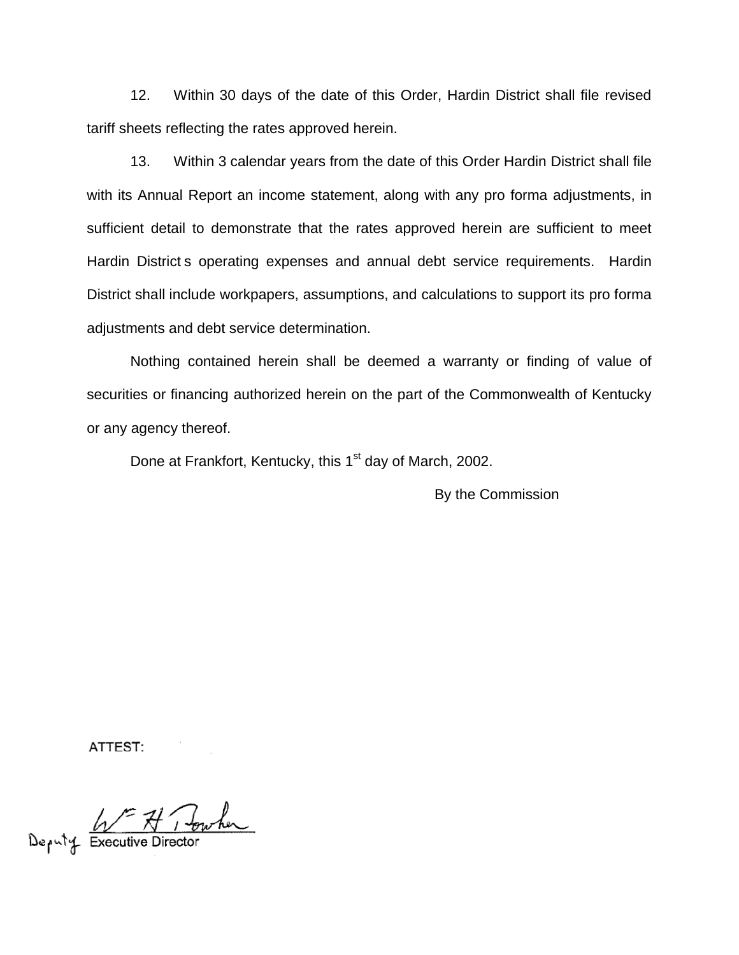12. Within 30 days of the date of this Order, Hardin District shall file revised tariff sheets reflecting the rates approved herein.

13. Within 3 calendar years from the date of this Order Hardin District shall file with its Annual Report an income statement, along with any pro forma adjustments, in sufficient detail to demonstrate that the rates approved herein are sufficient to meet Hardin District s operating expenses and annual debt service requirements. Hardin District shall include workpapers, assumptions, and calculations to support its pro forma adjustments and debt service determination.

Nothing contained herein shall be deemed a warranty or finding of value of securities or financing authorized herein on the part of the Commonwealth of Kentucky or any agency thereof.

Done at Frankfort, Kentucky, this 1<sup>st</sup> day of March, 2002.

By the Commission

ATTEST:

Deputy Executive Director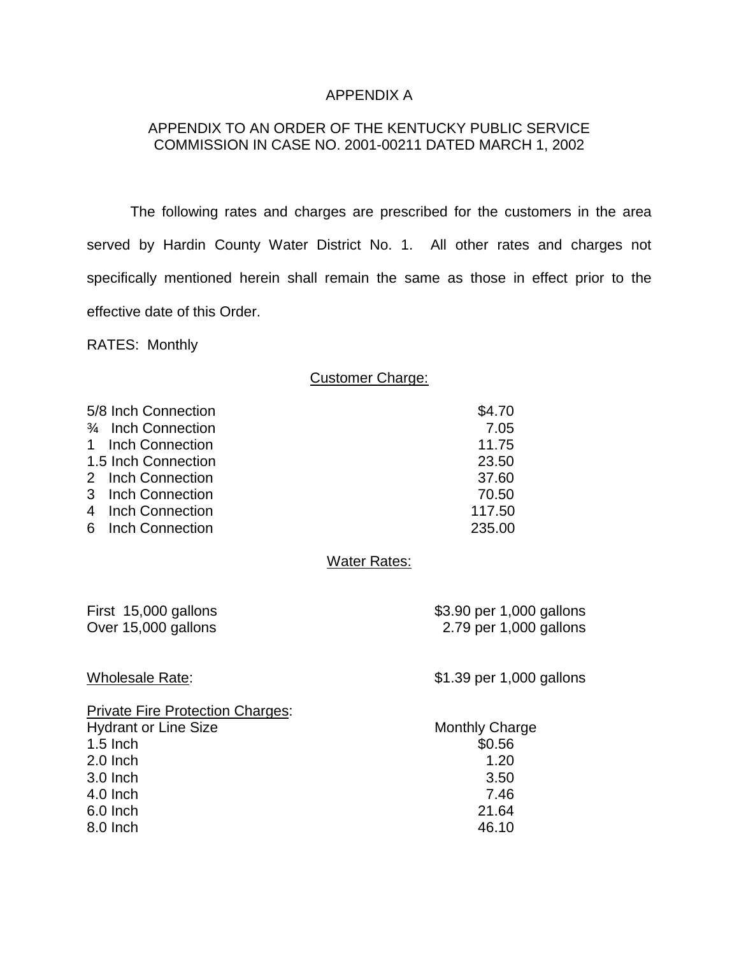## APPENDIX A

# APPENDIX TO AN ORDER OF THE KENTUCKY PUBLIC SERVICE COMMISSION IN CASE NO. 2001-00211 DATED MARCH 1, 2002

The following rates and charges are prescribed for the customers in the area served by Hardin County Water District No. 1. All other rates and charges not specifically mentioned herein shall remain the same as those in effect prior to the effective date of this Order.

RATES: Monthly

## Customer Charge:

| 5/8 Inch Connection | \$4.70 |
|---------------------|--------|
| 3/4 Inch Connection | 7.05   |
| 1 Inch Connection   | 11.75  |
| 1.5 Inch Connection | 23.50  |
| 2 Inch Connection   | 37.60  |
| 3 Inch Connection   | 70.50  |
| 4 Inch Connection   | 117.50 |
| 6 Inch Connection   | 235.00 |
|                     |        |

#### Water Rates:

|  | First 15,000 gallons |
|--|----------------------|
|  | Over 15,000 gallons  |

\$3.90 per 1,000 gallons 2.79 per 1,000 gallons

Wholesale Rate:  $\frac{1}{2}$  S1.39 per 1,000 gallons

| <b>Private Fire Protection Charges:</b> |                       |
|-----------------------------------------|-----------------------|
| <b>Hydrant or Line Size</b>             | <b>Monthly Charge</b> |
| $1.5$ Inch                              | \$0.56                |
| $2.0$ Inch                              | 1.20                  |
| $3.0$ Inch                              | 3.50                  |
| 4.0 Inch                                | 7.46                  |
| 6.0 Inch                                | 21.64                 |
| 8.0 Inch                                | 46.10                 |
|                                         |                       |

| Monthly Charge |
|----------------|
| \$0.56         |
| 1.20           |
| 3.50           |
| 7.46           |
| 21.64          |
| 46.10          |
|                |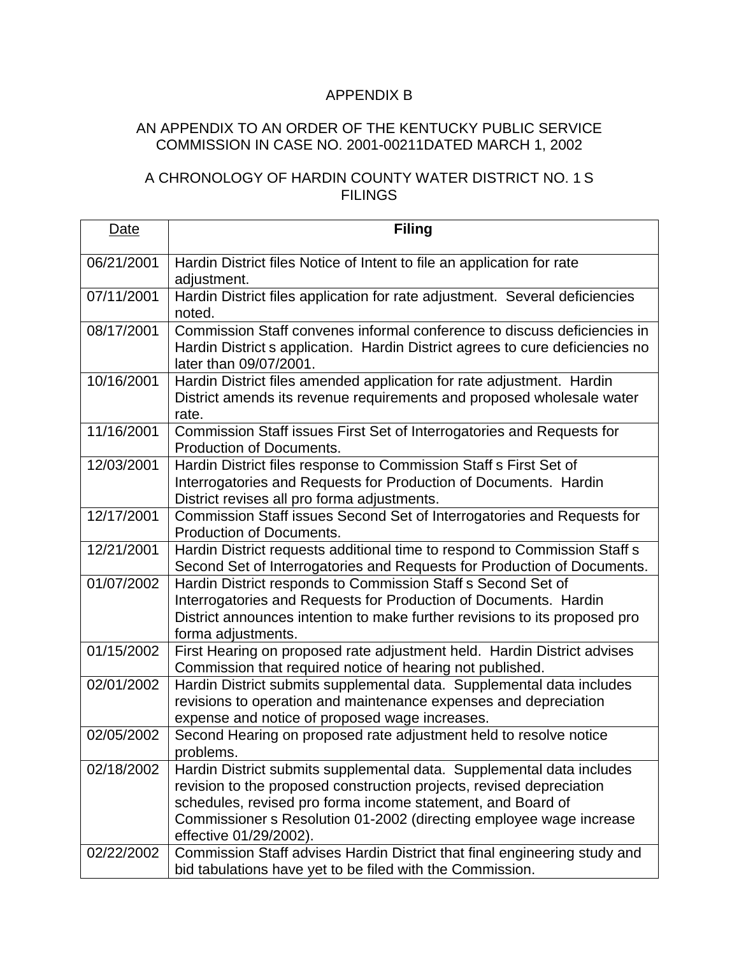# APPENDIX B

# AN APPENDIX TO AN ORDER OF THE KENTUCKY PUBLIC SERVICE COMMISSION IN CASE NO. 2001-00211DATED MARCH 1, 2002

# A CHRONOLOGY OF HARDIN COUNTY WATER DISTRICT NO. 1 S FILINGS

| Date       | <b>Filing</b>                                                                                                                                                                                                                                                                                                 |
|------------|---------------------------------------------------------------------------------------------------------------------------------------------------------------------------------------------------------------------------------------------------------------------------------------------------------------|
| 06/21/2001 | Hardin District files Notice of Intent to file an application for rate<br>adjustment.                                                                                                                                                                                                                         |
| 07/11/2001 | Hardin District files application for rate adjustment. Several deficiencies<br>noted.                                                                                                                                                                                                                         |
| 08/17/2001 | Commission Staff convenes informal conference to discuss deficiencies in<br>Hardin District s application. Hardin District agrees to cure deficiencies no<br>later than 09/07/2001.                                                                                                                           |
| 10/16/2001 | Hardin District files amended application for rate adjustment. Hardin<br>District amends its revenue requirements and proposed wholesale water<br>rate.                                                                                                                                                       |
| 11/16/2001 | Commission Staff issues First Set of Interrogatories and Requests for<br><b>Production of Documents.</b>                                                                                                                                                                                                      |
| 12/03/2001 | Hardin District files response to Commission Staff s First Set of<br>Interrogatories and Requests for Production of Documents. Hardin<br>District revises all pro forma adjustments.                                                                                                                          |
| 12/17/2001 | Commission Staff issues Second Set of Interrogatories and Requests for<br><b>Production of Documents.</b>                                                                                                                                                                                                     |
| 12/21/2001 | Hardin District requests additional time to respond to Commission Staff s<br>Second Set of Interrogatories and Requests for Production of Documents.                                                                                                                                                          |
| 01/07/2002 | Hardin District responds to Commission Staff s Second Set of<br>Interrogatories and Requests for Production of Documents. Hardin<br>District announces intention to make further revisions to its proposed pro<br>forma adjustments.                                                                          |
| 01/15/2002 | First Hearing on proposed rate adjustment held. Hardin District advises<br>Commission that required notice of hearing not published.                                                                                                                                                                          |
| 02/01/2002 | Hardin District submits supplemental data. Supplemental data includes<br>revisions to operation and maintenance expenses and depreciation<br>expense and notice of proposed wage increases.                                                                                                                   |
| 02/05/2002 | Second Hearing on proposed rate adjustment held to resolve notice<br>problems.                                                                                                                                                                                                                                |
| 02/18/2002 | Hardin District submits supplemental data. Supplemental data includes<br>revision to the proposed construction projects, revised depreciation<br>schedules, revised pro forma income statement, and Board of<br>Commissioner s Resolution 01-2002 (directing employee wage increase<br>effective 01/29/2002). |
| 02/22/2002 | Commission Staff advises Hardin District that final engineering study and<br>bid tabulations have yet to be filed with the Commission.                                                                                                                                                                        |